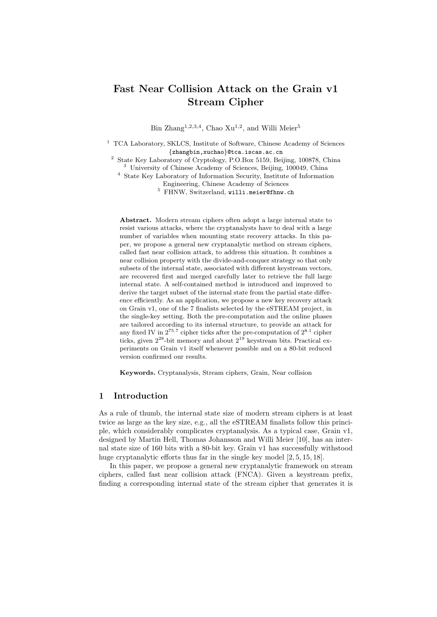# **Fast Near Collision Attack on the Grain v1 Stream Cipher**

Bin Zhang<sup>1,2,3,4</sup>, Chao Xu<sup>1,2</sup>, and Willi Meier<sup>5</sup>

<sup>2</sup> State Key Laboratory of Cryptology, P.O.Box 5159, Beijing, 100878, China

<sup>3</sup> University of Chinese Academy of Sciences, Beijing, 100049, China

<sup>4</sup> State Key Laboratory of Information Security, Institute of Information

Engineering, Chinese Academy of Sciences

<sup>5</sup> FHNW, Switzerland, willi.meier@fhnw.ch

**Abstract.** Modern stream ciphers often adopt a large internal state to resist various attacks, where the cryptanalysts have to deal with a large number of variables when mounting state recovery attacks. In this paper, we propose a general new cryptanalytic method on stream ciphers, called fast near collision attack, to address this situation. It combines a near collision property with the divide-and-conquer strategy so that only subsets of the internal state, associated with different keystream vectors, are recovered first and merged carefully later to retrieve the full large internal state. A self-contained method is introduced and improved to derive the target subset of the internal state from the partial state difference efficiently. As an application, we propose a new key recovery attack on Grain v1, one of the 7 finalists selected by the eSTREAM project, in the single-key setting. Both the pre-computation and the online phases are tailored according to its internal structure, to provide an attack for any fixed IV in  $2^{75.7}$  cipher ticks after the pre-computation of  $2^{8.1}$  cipher ticks, given  $2^{28}$ -bit memory and about  $2^{19}$  keystream bits. Practical experiments on Grain v1 itself whenever possible and on a 80-bit reduced version confirmed our results.

**Keywords.** Cryptanalysis, Stream ciphers, Grain, Near collision

# **1 Introduction**

As a rule of thumb, the internal state size of modern stream ciphers is at least twice as large as the key size, e.g., all the eSTREAM finalists follow this principle, which considerably complicates cryptanalysis. As a typical case, Grain v1, designed by Martin Hell, Thomas Johansson and Willi Meier [10], has an internal state size of 160 bits with a 80-bit key. Grain v1 has successfully withstood huge cryptanalytic efforts thus far in the single key model  $[2, 5, 15, 18]$ .

In this paper, we propose a general new cryptanalytic framework on stream ciphers, called fast near collision attack (FNCA). Given a keystream prefix, finding a corresponding internal state of the stream cipher that generates it is

<sup>&</sup>lt;sup>1</sup> TCA Laboratory, SKLCS, Institute of Software, Chinese Academy of Sciences *{*zhangbin,xuchao*}*@tca.iscas.ac.cn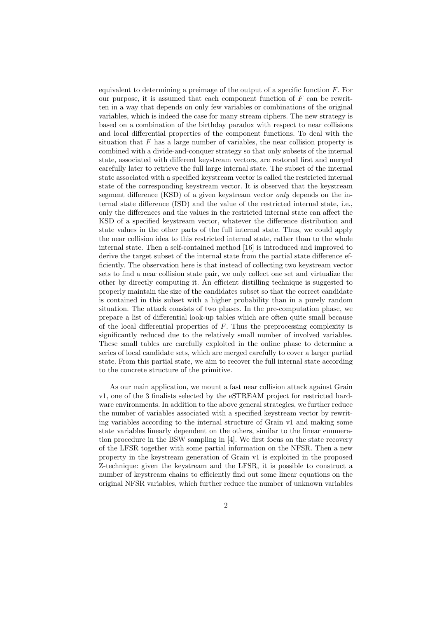equivalent to determining a preimage of the output of a specific function *F*. For our purpose, it is assumed that each component function of *F* can be rewritten in a way that depends on only few variables or combinations of the original variables, which is indeed the case for many stream ciphers. The new strategy is based on a combination of the birthday paradox with respect to near collisions and local differential properties of the component functions. To deal with the situation that  $F$  has a large number of variables, the near collision property is combined with a divide-and-conquer strategy so that only subsets of the internal state, associated with different keystream vectors, are restored first and merged carefully later to retrieve the full large internal state. The subset of the internal state associated with a specified keystream vector is called the restricted internal state of the corresponding keystream vector. It is observed that the keystream segment difference (KSD) of a given keystream vector *only* depends on the internal state difference (ISD) and the value of the restricted internal state, i.e., only the differences and the values in the restricted internal state can affect the KSD of a specified keystream vector, whatever the difference distribution and state values in the other parts of the full internal state. Thus, we could apply the near collision idea to this restricted internal state, rather than to the whole internal state. Then a self-contained method [16] is introduced and improved to derive the target subset of the internal state from the partial state difference efficiently. The observation here is that instead of collecting two keystream vector sets to find a near collision state pair, we only collect one set and virtualize the other by directly computing it. An efficient distilling technique is suggested to properly maintain the size of the candidates subset so that the correct candidate is contained in this subset with a higher probability than in a purely random situation. The attack consists of two phases. In the pre-computation phase, we prepare a list of differential look-up tables which are often quite small because of the local differential properties of *F*. Thus the preprocessing complexity is significantly reduced due to the relatively small number of involved variables. These small tables are carefully exploited in the online phase to determine a series of local candidate sets, which are merged carefully to cover a larger partial state. From this partial state, we aim to recover the full internal state according to the concrete structure of the primitive.

As our main application, we mount a fast near collision attack against Grain v1, one of the 3 finalists selected by the eSTREAM project for restricted hardware environments. In addition to the above general strategies, we further reduce the number of variables associated with a specified keystream vector by rewriting variables according to the internal structure of Grain v1 and making some state variables linearly dependent on the others, similar to the linear enumeration procedure in the BSW sampling in [4]. We first focus on the state recovery of the LFSR together with some partial information on the NFSR. Then a new property in the keystream generation of Grain v1 is exploited in the proposed Z-technique: given the keystream and the LFSR, it is possible to construct a number of keystream chains to efficiently find out some linear equations on the original NFSR variables, which further reduce the number of unknown variables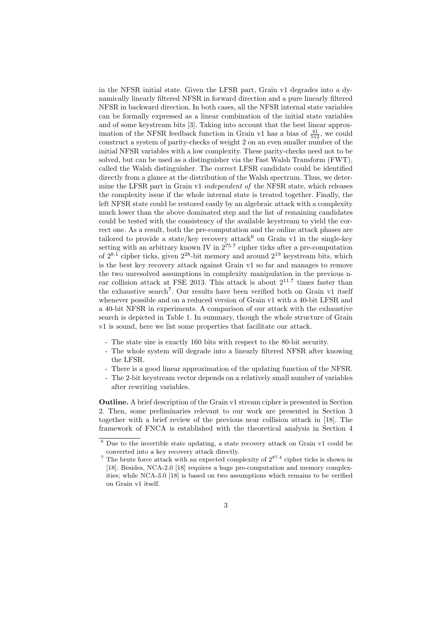in the NFSR initial state. Given the LFSR part, Grain v1 degrades into a dynamically linearly filtered NFSR in forward direction and a pure linearly filtered NFSR in backward direction. In both cases, all the NFSR internal state variables can be formally expressed as a linear combination of the initial state variables and of some keystream bits [3]. Taking into account that the best linear approximation of the NFSR feedback function in Grain v1 has a bias of  $\frac{41}{512}$ , we could construct a system of parity-checks of weight 2 on an even smaller number of the initial NFSR variables with a low complexity. These parity-checks need not to be solved, but can be used as a distinguisher via the Fast Walsh Transform (FWT), called the Walsh distinguisher. The correct LFSR candidate could be identified directly from a glance at the distribution of the Walsh spectrum. Thus, we determine the LFSR part in Grain v1 *independent of* the NFSR state, which releases the complexity issue if the whole internal state is treated together. Finally, the left NFSR state could be restored easily by an algebraic attack with a complexity much lower than the above dominated step and the list of remaining candidates could be tested with the consistency of the available keystream to yield the correct one. As a result, both the pre-computation and the online attack phases are tailored to provide a state/key recovery attack<sup>6</sup> on Grain v1 in the single-key setting with an arbitrary known IV in 2<sup>75</sup>*.*<sup>7</sup> cipher ticks after a pre-computation of  $2^{8.1}$  cipher ticks, given  $2^{28}$ -bit memory and around  $2^{19}$  keystream bits, which is the best key recovery attack against Grain v1 so far and manages to remove the two unresolved assumptions in complexity manipulation in the previous near collision attack at FSE 2013. This attack is about 2<sup>11</sup>*.*<sup>7</sup> times faster than the exhaustive search<sup>7</sup>. Our results have been verified both on Grain v1 itself whenever possible and on a reduced version of Grain v1 with a 40-bit LFSR and a 40-bit NFSR in experiments. A comparison of our attack with the exhaustive search is depicted in Table 1. In summary, though the whole structure of Grain v1 is sound, here we list some properties that facilitate our attack.

- The state size is exactly 160 bits with respect to the 80-bit security.
- The whole system will degrade into a linearly filtered NFSR after knowing the LFSR.
- There is a good linear approximation of the updating function of the NFSR.
- The 2-bit keystream vector depends on a relatively small number of variables after rewriting variables.

**Outline.** A brief description of the Grain v1 stream cipher is presented in Section 2. Then, some preliminaries relevant to our work are presented in Section 3 together with a brief review of the previous near collision attack in [18]. The framework of FNCA is established with the theoretical analysis in Section 4

 $6$  Due to the invertible state updating, a state recovery attack on Grain v1 could be converted into a key recovery attack directly.

<sup>&</sup>lt;sup>7</sup> The brute force attack with an expected complexity of  $2^{87.4}$  cipher ticks is shown in [18]. Besides, NCA-2.0 [18] requires a huge pre-computation and memory complexities; while NCA-3.0 [18] is based on two assumptions which remains to be verified on Grain v1 itself.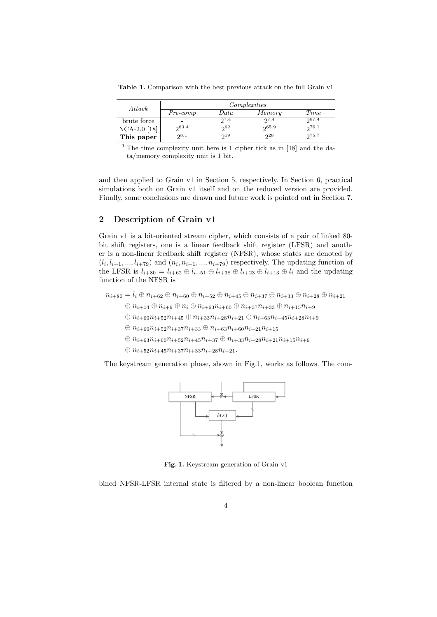**Table 1.** Comparison with the best previous attack on the full Grain v1

| Attack         |                   |      | Complexities |        |
|----------------|-------------------|------|--------------|--------|
|                | $Pre\text{-}comp$ | Data | Memory       | Time   |
| brute force    |                   | 27.4 | 07.4         | 287.4  |
| $NCA-2.0$ [18] | 283.4             | 262  | 265.9        | 276.1  |
| This paper     | 0.8.1             | 219  | 28           | 0.75.7 |

<sup>1</sup> The time complexity unit here is 1 cipher tick as in [18] and the data/memory complexity unit is 1 bit.

and then applied to Grain v1 in Section 5, respectively. In Section 6, practical simulations both on Grain v1 itself and on the reduced version are provided. Finally, some conclusions are drawn and future work is pointed out in Section 7.

# **2 Description of Grain v1**

Grain v1 is a bit-oriented stream cipher, which consists of a pair of linked 80 bit shift registers, one is a linear feedback shift register (LFSR) and another is a non-linear feedback shift register (NFSR), whose states are denoted by  $(l_i, l_{i+1}, ..., l_{i+79})$  and  $(n_i, n_{i+1}, ..., n_{i+79})$  respectively. The updating function of the LFSR is  $l_{i+80} = l_{i+62} \oplus l_{i+51} \oplus l_{i+38} \oplus l_{i+23} \oplus l_{i+13} \oplus l_i$  and the updating function of the NFSR is

 $n_{i+80} = l_i \oplus n_{i+62} \oplus n_{i+60} \oplus n_{i+52} \oplus n_{i+45} \oplus n_{i+37} \oplus n_{i+33} \oplus n_{i+28} \oplus n_{i+21}$ 

 $\oplus n_{i+14} \oplus n_{i+9} \oplus n_i \oplus n_{i+63}n_{i+60} \oplus n_{i+37}n_{i+33} \oplus n_{i+15}n_{i+9}$ 

- $oplus$  *n*<sub>*i*+60</sub>*n*<sub>*i*+52</sub>*n*<sub>*i*+45</sub>  $oplus$  *n*<sub>*i*+33</sub>*n*<sub>*i*+28</sub>*n*<sub>*i*+21</sub>  $oplus$  *n*<sub>*i*+63</sub>*n*<sub>*i*+45</sub>*n*<sub>*i*+28</sub>*n*<sub>*i*+9</sub>
- $oplus n_{i+60}n_{i+52}n_{i+37}n_{i+33}$   $oplus n_{i+63}n_{i+60}n_{i+21}n_{i+15}$
- $oplus n_{i+63}n_{i+60}n_{i+52}n_{i+45}n_{i+37}$   $oplus n_{i+33}n_{i+28}n_{i+21}n_{i+15}n_{i+9}$
- $\oplus$   $n_{i+52}n_{i+45}n_{i+37}n_{i+33}n_{i+28}n_{i+21}$ .

The keystream generation phase, shown in Fig.1, works as follows. The com-



**Fig. 1.** Keystream generation of Grain v1

bined NFSR-LFSR internal state is filtered by a non-linear boolean function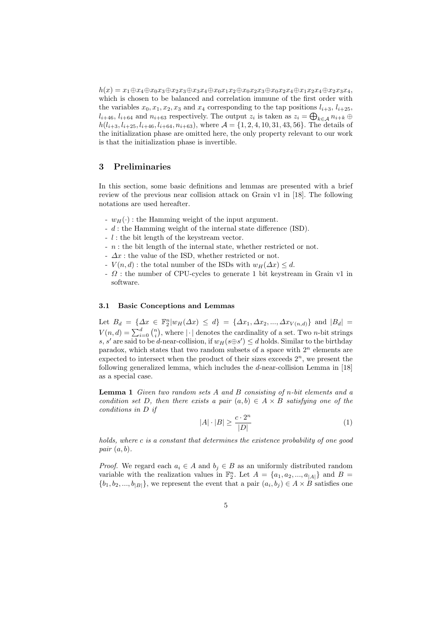$h(x) = x_1 \oplus x_4 \oplus x_0 x_3 \oplus x_2 x_3 \oplus x_3 x_4 \oplus x_0 x_1 x_2 \oplus x_0 x_2 x_3 \oplus x_0 x_2 x_4 \oplus x_1 x_2 x_4 \oplus x_2 x_3 x_4,$ which is chosen to be balanced and correlation immune of the first order with the variables  $x_0, x_1, x_2, x_3$  and  $x_4$  corresponding to the tap positions  $l_{i+3}, l_{i+25}$ ,  $l_{i+46}$ ,  $l_{i+64}$  and  $n_{i+63}$  respectively. The output  $z_i$  is taken as  $z_i = \bigoplus_{k \in A} n_{i+k} \oplus \bigcup_{k \in A} n_{i+k}$  $h(l_{i+3}, l_{i+25}, l_{i+46}, l_{i+64}, n_{i+63})$ , where  $\mathcal{A} = \{1, 2, 4, 10, 31, 43, 56\}$ . The details of the initialization phase are omitted here, the only property relevant to our work is that the initialization phase is invertible.

# **3 Preliminaries**

In this section, some basic definitions and lemmas are presented with a brief review of the previous near collision attack on Grain v1 in [18]. The following notations are used hereafter.

- $w_H(\cdot)$ : the Hamming weight of the input argument.
- *d* : the Hamming weight of the internal state difference (ISD).
- *l* : the bit length of the keystream vector.
- *n* : the bit length of the internal state, whether restricted or not.
- *∆x* : the value of the ISD, whether restricted or not.
- $V(n, d)$ : the total number of the ISDs with  $w_H(∆x) ≤ d$ .
- *Ω* : the number of CPU-cycles to generate 1 bit keystream in Grain v1 in software.

#### **3.1 Basic Conceptions and Lemmas**

Let  $B_d = \{\Delta x \in \mathbb{F}_2^n | w_H(\Delta x) \leq d\} = \{\Delta x_1, \Delta x_2, ..., \Delta x_{V(n,d)}\}\$ and  $|B_d|$  $V(n,d) = \sum_{i=0}^{d} \binom{n}{i}$ , where  $|\cdot|$  denotes the cardinality of a set. Two *n*-bit strings *s*, *s*<sup>'</sup> are said to be *d*-near-collision, if  $w_H(s \oplus s') \le d$  holds. Similar to the birthday paradox, which states that two random subsets of a space with  $2<sup>n</sup>$  elements are expected to intersect when the product of their sizes exceeds 2*<sup>n</sup>*, we present the following generalized lemma, which includes the *d*-near-collision Lemma in [18] as a special case.

**Lemma 1** *Given two random sets A and B consisting of n-bit elements and a condition set D, then there exists a pair*  $(a, b) \in A \times B$  *satisfying one of the conditions in D if*

$$
|A| \cdot |B| \ge \frac{c \cdot 2^n}{|D|} \tag{1}
$$

*holds, where c is a constant that determines the existence probability of one good pair* (*a, b*)*.*

*Proof.* We regard each  $a_i \in A$  and  $b_j \in B$  as an uniformly distributed random variable with the realization values in  $\mathbb{F}_2^n$ . Let  $A = \{a_1, a_2, ..., a_{|A|}\}\$  and  $B =$  ${b_1, b_2, ..., b_{|B|}}$ , we represent the event that a pair  $(a_i, b_j) \in A \times B$  satisfies one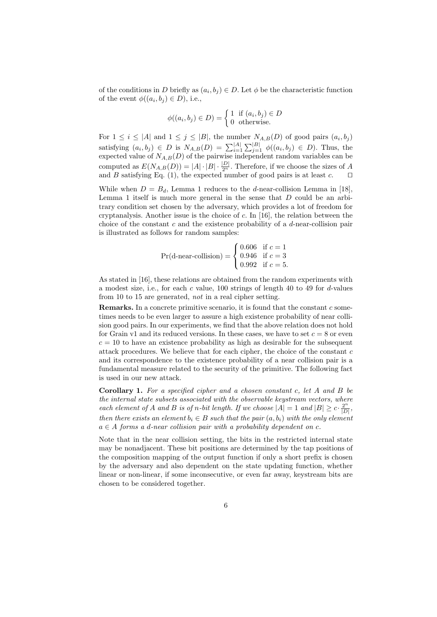of the conditions in *D* briefly as  $(a_i, b_j) \in D$ . Let  $\phi$  be the characteristic function of the event  $\phi((a_i, b_j) \in D)$ , i.e.,

$$
\phi((a_i, b_j) \in D) = \begin{cases} 1 & \text{if } (a_i, b_j) \in D \\ 0 & \text{otherwise.} \end{cases}
$$

For  $1 \leq i \leq |A|$  and  $1 \leq j \leq |B|$ , the number  $N_{A,B}(D)$  of good pairs  $(a_i, b_j)$ satisfying  $(a_i, b_j) \in D$  is  $N_{A,B}(D) = \sum_{i=1}^{|A|} \sum_{j=1}^{|B|} \phi((a_i, b_j) \in D)$ . Thus, the expected value of  $N_{A,B}(D)$  of the pairwise independent random variables can be computed as  $E(N_{A,B}(D)) = |A| \cdot |B| \cdot \frac{|D|}{2^n}$ . Therefore, if we choose the sizes of *A* and *B* satisfying Eq. (1), the expected number of good pairs is at least *c*. *⊓⊔*

While when  $D = B_d$ , Lemma 1 reduces to the *d*-near-collision Lemma in [18], Lemma 1 itself is much more general in the sense that *D* could be an arbitrary condition set chosen by the adversary, which provides a lot of freedom for cryptanalysis. Another issue is the choice of *c*. In [16], the relation between the choice of the constant *c* and the existence probability of a *d*-near-collision pair is illustrated as follows for random samples:

$$
Pr(d\text{-near-collision}) = \begin{cases} 0.606 & \text{if } c = 1\\ 0.946 & \text{if } c = 3\\ 0.992 & \text{if } c = 5. \end{cases}
$$

As stated in [16], these relations are obtained from the random experiments with a modest size, i.e., for each *c* value, 100 strings of length 40 to 49 for *d*-values from 10 to 15 are generated, *not* in a real cipher setting.

**Remarks.** In a concrete primitive scenario, it is found that the constant *c* sometimes needs to be even larger to assure a high existence probability of near collision good pairs. In our experiments, we find that the above relation does not hold for Grain v1 and its reduced versions. In these cases, we have to set  $c = 8$  or even  $c = 10$  to have an existence probability as high as desirable for the subsequent attack procedures. We believe that for each cipher, the choice of the constant *c* and its correspondence to the existence probability of a near collision pair is a fundamental measure related to the security of the primitive. The following fact is used in our new attack.

**Corollary 1.** *For a specified cipher and a chosen constant c, let A and B be the internal state subsets associated with the observable keystream vectors, where each element of A and B is of n-bit length. If we choose*  $|A| = 1$  *and*  $|B| \ge c \cdot \frac{2^n}{|D|}$  $\frac{2^n}{|D|}$ *then there exists an element*  $b_i \in B$  *such that the pair*  $(a, b_i)$  *with the only element*  $a \in A$  *forms a d-near collision pair with a probability dependent on c.* 

Note that in the near collision setting, the bits in the restricted internal state may be nonadjacent. These bit positions are determined by the tap positions of the composition mapping of the output function if only a short prefix is chosen by the adversary and also dependent on the state updating function, whether linear or non-linear, if some inconsecutive, or even far away, keystream bits are chosen to be considered together.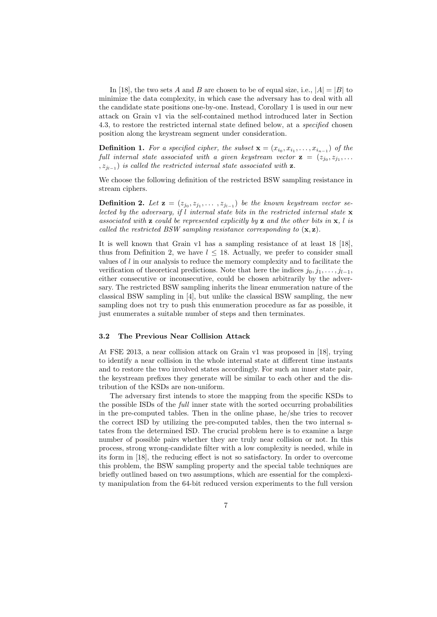In [18], the two sets *A* and *B* are chosen to be of equal size, i.e.,  $|A| = |B|$  to minimize the data complexity, in which case the adversary has to deal with all the candidate state positions one-by-one. Instead, Corollary 1 is used in our new attack on Grain v1 via the self-contained method introduced later in Section 4.3, to restore the restricted internal state defined below, at a *specified* chosen position along the keystream segment under consideration.

**Definition 1.** For a specified cipher, the subset  $\mathbf{x} = (x_{i_0}, x_{i_1}, \dots, x_{i_{n-1}})$  of the *full internal state associated with a given keystream vector*  $\mathbf{z} = (z_{j_0}, z_{j_1}, \ldots, z_{j_{j_1}}, \ldots, z_{j_{j_{j_1}}}, \ldots, z_{j_{j_{j_1}}}, \ldots, z_{j_{j_{j_1}}}, \ldots, z_{j_{j_{j_1}}}, \ldots, z_{j_{j_{j_1}}}, \ldots, z_{j_{j_{j_{j_1}}}}, \ldots, z_{j_{j_{j_{j_1}}}}, \ldots, z_{j_{j_{j_{j_1}}$  $(z_{j_l-1})$  *is called the restricted internal state associated with* **z***.* 

We choose the following definition of the restricted BSW sampling resistance in stream ciphers.

**Definition 2.** Let  $\mathbf{z} = (z_{j_0}, z_{j_1}, \ldots, z_{j_{l-1}})$  be the known keystream vector se*lected by the adversary, if l internal state bits in the restricted internal state* **x** *associated with* **z** *could be represented explicitly by* **z** *and the other bits in* **x***, l is called the restricted BSW sampling resistance corresponding to* (**x***,* **z**)*.*

It is well known that Grain v1 has a sampling resistance of at least 18 [18], thus from Definition 2, we have  $l \leq 18$ . Actually, we prefer to consider small values of *l* in our analysis to reduce the memory complexity and to facilitate the verification of theoretical predictions. Note that here the indices  $j_0, j_1, \ldots, j_{l-1}$ , either consecutive or inconsecutive, could be chosen arbitrarily by the adversary. The restricted BSW sampling inherits the linear enumeration nature of the classical BSW sampling in [4], but unlike the classical BSW sampling, the new sampling does not try to push this enumeration procedure as far as possible, it just enumerates a suitable number of steps and then terminates.

#### **3.2 The Previous Near Collision Attack**

At FSE 2013, a near collision attack on Grain v1 was proposed in [18], trying to identify a near collision in the whole internal state at different time instants and to restore the two involved states accordingly. For such an inner state pair, the keystream prefixes they generate will be similar to each other and the distribution of the KSDs are non-uniform.

The adversary first intends to store the mapping from the specific KSDs to the possible ISDs of the *full* inner state with the sorted occurring probabilities in the pre-computed tables. Then in the online phase, he/she tries to recover the correct ISD by utilizing the pre-computed tables, then the two internal states from the determined ISD. The crucial problem here is to examine a large number of possible pairs whether they are truly near collision or not. In this process, strong wrong-candidate filter with a low complexity is needed, while in its form in [18], the reducing effect is not so satisfactory. In order to overcome this problem, the BSW sampling property and the special table techniques are briefly outlined based on two assumptions, which are essential for the complexity manipulation from the 64-bit reduced version experiments to the full version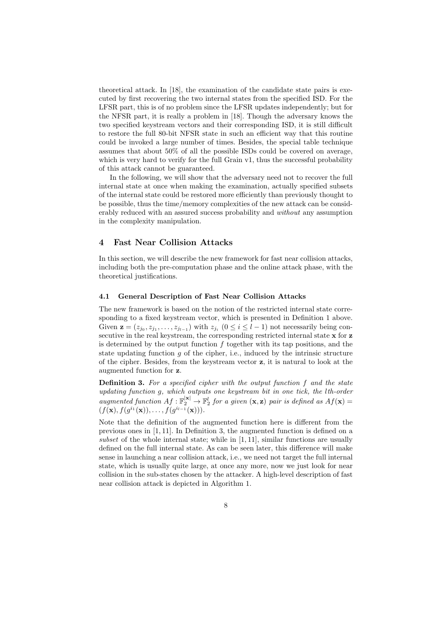theoretical attack. In [18], the examination of the candidate state pairs is executed by first recovering the two internal states from the specified ISD. For the LFSR part, this is of no problem since the LFSR updates independently; but for the NFSR part, it is really a problem in [18]. Though the adversary knows the two specified keystream vectors and their corresponding ISD, it is still difficult to restore the full 80-bit NFSR state in such an efficient way that this routine could be invoked a large number of times. Besides, the special table technique assumes that about 50% of all the possible ISDs could be covered on average, which is very hard to verify for the full Grain v1, thus the successful probability of this attack cannot be guaranteed.

In the following, we will show that the adversary need not to recover the full internal state at once when making the examination, actually specified subsets of the internal state could be restored more efficiently than previously thought to be possible, thus the time/memory complexities of the new attack can be considerably reduced with an assured success probability and *without* any assumption in the complexity manipulation.

### **4 Fast Near Collision Attacks**

In this section, we will describe the new framework for fast near collision attacks, including both the pre-computation phase and the online attack phase, with the theoretical justifications.

### **4.1 General Description of Fast Near Collision Attacks**

The new framework is based on the notion of the restricted internal state corresponding to a fixed keystream vector, which is presented in Definition 1 above. Given  $\mathbf{z} = (z_{j_0}, z_{j_1}, \dots, z_{j_{l-1}})$  with  $z_{j_i}$   $(0 \le i \le l-1)$  not necessarily being consecutive in the real keystream, the corresponding restricted internal state **x** for **z** is determined by the output function *f* together with its tap positions, and the state updating function *g* of the cipher, i.e., induced by the intrinsic structure of the cipher. Besides, from the keystream vector **z**, it is natural to look at the augmented function for **z**.

**Definition 3.** *For a specified cipher with the output function f and the state updating function g, which outputs one keystream bit in one tick, the lth-order*  $augmented function \ Af : \mathbb{F}_2^{|\mathbf{x}|} \to \mathbb{F}_2^l \ for \ a \ given \ (\mathbf{x}, \mathbf{z}) \ pair \ is \ defined \ as \ Af(\mathbf{x}) =$  $(f(\mathbf{x}), f(g^{i_1}(\mathbf{x})), \ldots, f(g^{i_{l-1}}(\mathbf{x}))).$ 

Note that the definition of the augmented function here is different from the previous ones in [1, 11]. In Definition 3, the augmented function is defined on a *subset* of the whole internal state; while in [1, 11], similar functions are usually defined on the full internal state. As can be seen later, this difference will make sense in launching a near collision attack, i.e., we need not target the full internal state, which is usually quite large, at once any more, now we just look for near collision in the sub-states chosen by the attacker. A high-level description of fast near collision attack is depicted in Algorithm 1.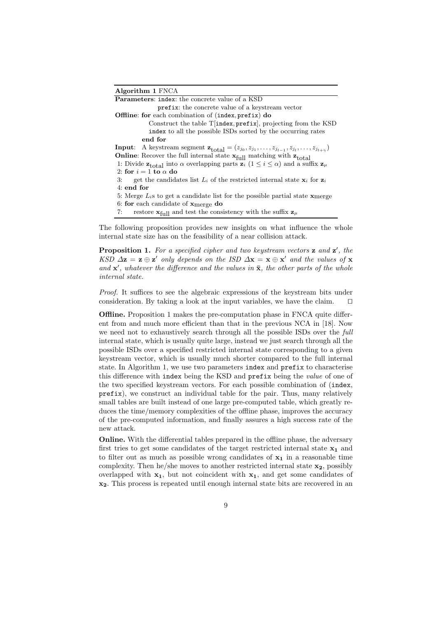| Algorithm 1 FNCA                                                                                                                         |  |  |  |  |  |
|------------------------------------------------------------------------------------------------------------------------------------------|--|--|--|--|--|
| <b>Parameters: index:</b> the concrete value of a KSD                                                                                    |  |  |  |  |  |
| <b>prefix:</b> the concrete value of a keystream vector                                                                                  |  |  |  |  |  |
| Offline: for each combination of (index, prefix) do                                                                                      |  |  |  |  |  |
| Construct the table $T$ [index, prefix], projecting from the KSD                                                                         |  |  |  |  |  |
| index to all the possible ISDs sorted by the occurring rates                                                                             |  |  |  |  |  |
| end for                                                                                                                                  |  |  |  |  |  |
| <b>Input</b> : A keystream segment $\mathbf{z}_{total} = (z_{j_0}, z_{j_1}, \ldots, z_{j_{l-1}}, z_{j_l}, \ldots, z_{j_{l+\gamma}})$     |  |  |  |  |  |
| Online: Recover the full internal state $\mathbf{x}_{\text{full}}$ matching with $\mathbf{z}_{\text{total}}$                             |  |  |  |  |  |
| 1: Divide $\mathbf{z}_{total}$ into $\alpha$ overlapping parts $\mathbf{z}_i$ ( $1 \leq i \leq \alpha$ ) and a suffix $\mathbf{z}_{\mu}$ |  |  |  |  |  |
| 2: for $i = 1$ to $\alpha$ do                                                                                                            |  |  |  |  |  |
| get the candidates list $L_i$ of the restricted internal state $\mathbf{x}_i$ for $\mathbf{z}_i$<br>3:                                   |  |  |  |  |  |
| $4:$ end for                                                                                                                             |  |  |  |  |  |
| 5: Merge $L_i$ s to get a candidate list for the possible partial state $\mathbf{x}_{\text{merge}}$                                      |  |  |  |  |  |
| 6: for each candidate of $x_{\text{merge}}$ do                                                                                           |  |  |  |  |  |
| 7: restore $\mathbf{x}_{\text{full}}$ and test the consistency with the suffix $\mathbf{z}_{\mu}$                                        |  |  |  |  |  |

The following proposition provides new insights on what influence the whole internal state size has on the feasibility of a near collision attack.

**Proposition 1.** *For a specified cipher and two keystream vectors* **z** *and* **z** *′ , the KSD*  $\Delta z = z \oplus z'$  *only depends on the ISD*  $\Delta x = x \oplus x'$  *and the values of* x and  $\mathbf{x}'$ , whatever the difference and the values in  $\bar{\mathbf{x}}$ , the other parts of the whole *internal state.*

*Proof.* It suffices to see the algebraic expressions of the keystream bits under consideration. By taking a look at the input variables, we have the claim. *⊓⊔*

**Offline.** Proposition 1 makes the pre-computation phase in FNCA quite different from and much more efficient than that in the previous NCA in [18]. Now we need not to exhaustively search through all the possible ISDs over the *full* internal state, which is usually quite large, instead we just search through all the possible ISDs over a specified restricted internal state corresponding to a given keystream vector, which is usually much shorter compared to the full internal state. In Algorithm 1, we use two parameters index and prefix to characterise this difference with index being the KSD and prefix being the *value* of one of the two specified keystream vectors. For each possible combination of (index*,* prefix), we construct an individual table for the pair. Thus, many relatively small tables are built instead of one large pre-computed table, which greatly reduces the time/memory complexities of the offline phase, improves the accuracy of the pre-computed information, and finally assures a high success rate of the new attack.

**Online.** With the differential tables prepared in the offline phase, the adversary first tries to get some candidates of the target restricted internal state  $\mathbf{x}_1$  and to filter out as much as possible wrong candidates of **x<sup>1</sup>** in a reasonable time complexity. Then he/she moves to another restricted internal state **x2**, possibly overlapped with  $\mathbf{x}_1$ , but not coincident with  $\mathbf{x}_1$ , and get some candidates of **x2**. This process is repeated until enough internal state bits are recovered in an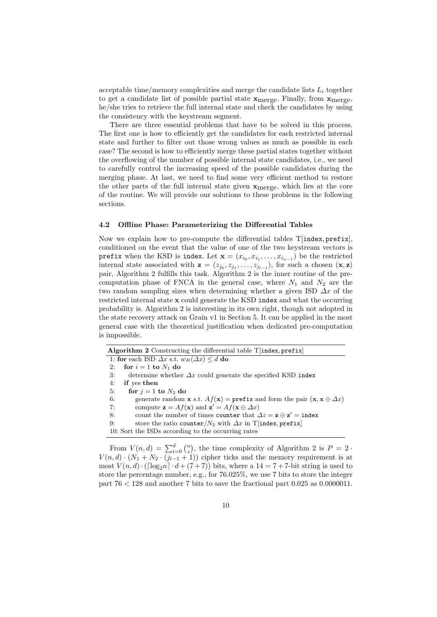acceptable time/memory complexities and merge the candidate lists  $L_i$  together to get a candidate list of possible partial state **x**merge. Finally, from **x**merge, he/she tries to retrieve the full internal state and check the candidates by using the consistency with the keystream segment.

There are three essential problems that have to be solved in this process. The first one is how to efficiently get the candidates for each restricted internal state and further to filter out those wrong values as much as possible in each case? The second is how to efficiently merge these partial states together without the overflowing of the number of possible internal state candidates, i.e., we need to carefully control the increasing speed of the possible candidates during the merging phase. At last, we need to find some very efficient method to restore the other parts of the full internal state given **x**merge, which lies at the core of the routine. We will provide our solutions to these problems in the following sections.

#### **4.2 Offline Phase: Parameterizing the Differential Tables**

Now we explain how to pre-compute the differential tables T[index*,* prefix], conditioned on the event that the value of one of the two keystream vectors is prefix when the KSD is index. Let  $\mathbf{x} = (x_{i_0}, x_{i_1}, \dots, x_{i_{n-1}})$  be the restricted internal state associated with  $\mathbf{z} = (z_{j_0}, z_{j_1}, \ldots, z_{j_{l-1}})$ , for such a chosen  $(\mathbf{x}, \mathbf{z})$ pair, Algorithm 2 fulfills this task. Algorithm 2 is the inner routine of the precomputation phase of FNCA in the general case, where  $N_1$  and  $N_2$  are the two random sampling sizes when determining whether a given ISD *∆x* of the restricted internal state **x** could generate the KSD index and what the occurring probability is. Algorithm 2 is interesting in its own right, though not adopted in the state recovery attack on Grain v1 in Section 5. It can be applied in the most general case with the theoretical justification when dedicated pre-computation is impossible.

**Algorithm 2** Constructing the differential table T[index*,* prefix]

1: **for** each ISD  $\Delta x$  s.t.  $w_H(\Delta x) \leq d$  **do** 2: **for**  $i = 1$  **to**  $N_1$  **do** 

- 
- 3: determine whether *∆x* could generate the specified KSD index
- 4: **if** yes **then**
- 5: **for**  $j = 1$  **to**  $N_2$  **do**
- 6: generate random **x** s.t.  $Af(\mathbf{x}) = \text{prefix}$  and form the pair  $(\mathbf{x}, \mathbf{x} \oplus \Delta x)$
- 7: compute  $\mathbf{z} = Af(\mathbf{x})$  and  $\mathbf{z}' = Af(\mathbf{x} \oplus \Delta x)$
- 8: count the number of times counter that  $\Delta z = z \oplus z' = \text{index}$
- 9: store the ratio counter*/N*<sup>2</sup> with *∆x* in T[index*,* prefix]
- 10: Sort the ISDs according to the occurring rates

From  $V(n,d) = \sum_{i=0}^{d} {n \choose i}$ , the time complexity of Algorithm 2 is  $P = 2 \cdot \frac{1}{2}$  $V(n,d) \cdot (N_1 + N_2 \cdot (j_{l-1} + 1))$  cipher ticks and the memory requirement is at most  $V(n,d) \cdot (\lceil \log_2 n \rceil \cdot d + (7+7))$  bits, where a  $14 = 7 + 7$ -bit string is used to store the percentage number, e.g., for 76*.*025%, we use 7 bits to store the integer part 76 *<* 128 and another 7 bits to save the fractional part 0*.*025 as 0*.*0000011.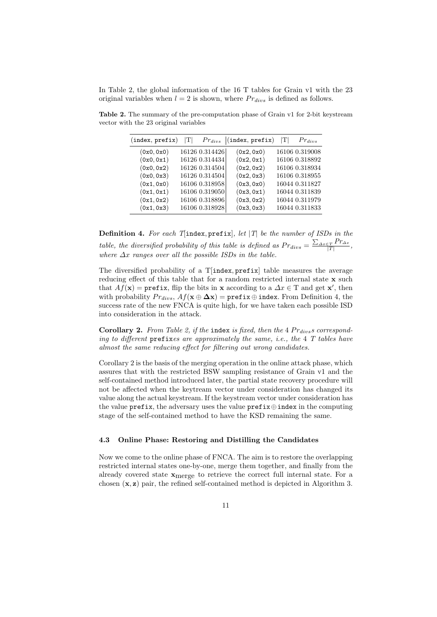In Table 2, the global information of the 16 T tables for Grain v1 with the 23 original variables when  $l = 2$  is shown, where  $Pr_{divs}$  is defined as follows.

**Table 2.** The summary of the pre-computation phase of Grain v1 for 2-bit keystream vector with the 23 original variables

| (index, prefix) | T |                | $Pr_{divs}$ (index, prefix) | T | $Pr_{divs}$    |
|-----------------|---|----------------|-----------------------------|---|----------------|
| (0x0, 0x0)      |   | 16126 0.314426 | (0x2, 0x0)                  |   | 16106 0.319008 |
| (0x0, 0x1)      |   | 16126 0.314434 | (0x2, 0x1)                  |   | 16106 0.318892 |
| (0x0, 0x2)      |   | 16126 0.314504 | (0x2, 0x2)                  |   | 16106 0.318934 |
| (0x0, 0x3)      |   | 16126 0.314504 | (0x2, 0x3)                  |   | 16106 0.318955 |
| (0x1, 0x0)      |   | 16106 0.318958 | (0x3, 0x0)                  |   | 16044 0.311827 |
| (0x1, 0x1)      |   | 16106 0.319050 | (0x3, 0x1)                  |   | 16044 0.311839 |
| (0x1, 0x2)      |   | 16106 0.318896 | (0x3, 0x2)                  |   | 16044 0.311979 |
| (0x1, 0x3)      |   | 16106 0.318928 | (0x3, 0x3)                  |   | 16044 0.311833 |

**Definition 4.** *For each T*[index*,* prefix]*, let |T| be the number of ISDs in the table, the diversified probability of this table is defined as*  $Pr_{divs} = \frac{\sum_{\Delta x \in T} Pr_{\Delta x}}{|T|}$  $\frac{(\epsilon T)^{I+I} \Delta x}{|T|},$ *where ∆x ranges over all the possible ISDs in the table.*

The diversified probability of a T[index*,* prefix] table measures the average reducing effect of this table that for a random restricted internal state **x** such that  $Af(\mathbf{x}) = \text{prefix},$  flip the bits in **x** according to a  $\Delta x \in \text{T}$  and get **x'**, then with probability  $Pr_{divs}$ ,  $Af(x \oplus \Delta x) = \text{prefix} \oplus \text{index}$ . From Definition 4, the success rate of the new FNCA is quite high, for we have taken each possible ISD into consideration in the attack.

**Corollary 2.** *From Table 2, if the* index *is fixed, then the* 4 *P rdivss corresponding to different* prefix*es are approximately the same, i.e., the* 4 *T tables have almost the same reducing effect for filtering out wrong candidates.*

Corollary 2 is the basis of the merging operation in the online attack phase, which assures that with the restricted BSW sampling resistance of Grain v1 and the self-contained method introduced later, the partial state recovery procedure will not be affected when the keytream vector under consideration has changed its value along the actual keystream. If the keystream vector under consideration has the value prefix, the adversary uses the value prefix*⊕*index in the computing stage of the self-contained method to have the KSD remaining the same.

### **4.3 Online Phase: Restoring and Distilling the Candidates**

Now we come to the online phase of FNCA. The aim is to restore the overlapping restricted internal states one-by-one, merge them together, and finally from the already covered state **x**merge to retrieve the correct full internal state. For a chosen (**x***,* **z**) pair, the refined self-contained method is depicted in Algorithm 3.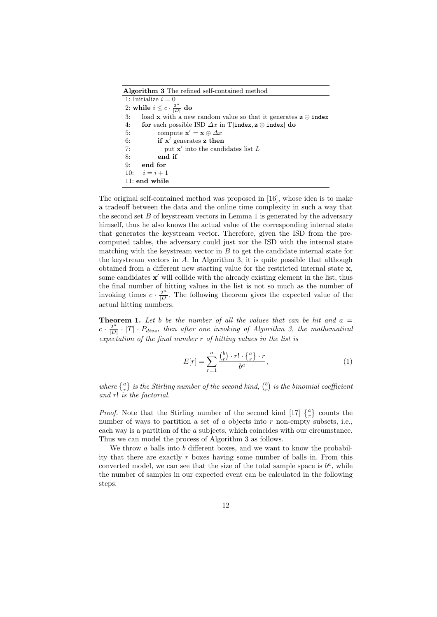| <b>Algorithm 3</b> The refined self-contained method                                     |  |  |  |  |  |
|------------------------------------------------------------------------------------------|--|--|--|--|--|
| 1: Initialize $i=0$                                                                      |  |  |  |  |  |
| 2: while $i \leq c \cdot \frac{2^n}{ D }$ do                                             |  |  |  |  |  |
| load <b>x</b> with a new random value so that it generates $z \oplus \text{index}$<br>3: |  |  |  |  |  |
| for each possible ISD $\Delta x$ in T [index, $z \oplus$ index] do<br>4:                 |  |  |  |  |  |
| compute $\mathbf{x}' = \mathbf{x} \oplus \Delta x$<br>5:                                 |  |  |  |  |  |
| if $x'$ generates z then<br>6:                                                           |  |  |  |  |  |
| 7:<br>put $\mathbf{x}'$ into the candidates list L                                       |  |  |  |  |  |
| 8:<br>end if                                                                             |  |  |  |  |  |
| 9:<br>end for                                                                            |  |  |  |  |  |
| 10: $i = i + 1$                                                                          |  |  |  |  |  |
| $11:$ end while                                                                          |  |  |  |  |  |

The original self-contained method was proposed in [16], whose idea is to make a tradeoff between the data and the online time complexity in such a way that the second set  $B$  of keystream vectors in Lemma 1 is generated by the adversary himself, thus he also knows the actual value of the corresponding internal state that generates the keystream vector. Therefore, given the ISD from the precomputed tables, the adversary could just xor the ISD with the internal state matching with the keystream vector in *B* to get the candidate internal state for the keystream vectors in *A*. In Algorithm 3, it is quite possible that although obtained from a different new starting value for the restricted internal state **x**, some candidates **x** *′* will collide with the already existing element in the list, thus the final number of hitting values in the list is not so much as the number of invoking times  $c \cdot \frac{2^n}{D}$  $\frac{2^n}{|D|}$ . The following theorem gives the expected value of the actual hitting numbers.

**Theorem 1.** Let b be the number of all the values that can be hit and  $a =$  $c \cdot \frac{2^n}{\sqrt{D}}$  $\frac{2^n}{|D|}$   $\cdot$  |*T*| · *P*<sub>divs</sub>, then after one invoking of Algorithm 3, the mathematical *expectation of the final number r of hitting values in the list is*

$$
E[r] = \sum_{r=1}^{a} \frac{\binom{b}{r} \cdot r! \cdot \binom{a}{r} \cdot r}{b^a},\tag{1}
$$

where  $\{^a_r\}$  is the Stirling number of the second kind,  $\binom{b}{r}$  is the binomial coefficient *and r*! *is the factorial.*

*Proof.* Note that the Stirling number of the second kind [17]  $\begin{Bmatrix} a \\ r \end{Bmatrix}$  counts the number of ways to partition a set of *a* objects into *r* non-empty subsets, i.e., each way is a partition of the *a* subjects, which coincides with our circumstance. Thus we can model the process of Algorithm 3 as follows.

We throw *a* balls into *b* different boxes, and we want to know the probability that there are exactly *r* boxes having some number of balls in. From this converted model, we can see that the size of the total sample space is  $b^a$ , while the number of samples in our expected event can be calculated in the following steps.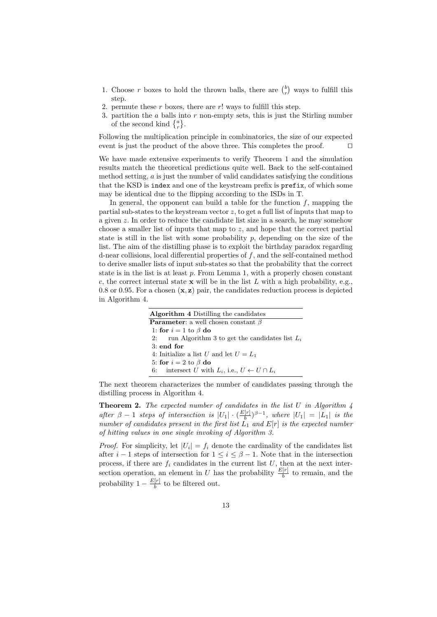- 1. Choose *r* boxes to hold the thrown balls, there are  $\binom{b}{r}$  ways to fulfill this step.
- 2. permute these *r* boxes, there are *r*! ways to fulfill this step.
- 3. partition the *a* balls into *r* non-empty sets, this is just the Stirling number of the second kind  $\{^a_r\}.$

Following the multiplication principle in combinatorics, the size of our expected event is just the product of the above three. This completes the proof. *⊓⊔*

We have made extensive experiments to verify Theorem 1 and the simulation results match the theoretical predictions quite well. Back to the self-contained method setting, *a* is just the number of valid candidates satisfying the conditions that the KSD is index and one of the keystream prefix is prefix, of which some may be identical due to the flipping according to the ISDs in T.

In general, the opponent can build a table for the function  $f$ , mapping the partial sub-states to the keystream vector *z*, to get a full list of inputs that map to a given *z*. In order to reduce the candidate list size in a search, he may somehow choose a smaller list of inputs that map to *z*, and hope that the correct partial state is still in the list with some probability *p*, depending on the size of the list. The aim of the distilling phase is to exploit the birthday paradox regarding d-near collisions, local differential properties of *f*, and the self-contained method to derive smaller lists of input sub-states so that the probability that the correct state is in the list is at least *p*. From Lemma 1, with a properly chosen constant *c*, the correct internal state **x** will be in the list  $L$  with a high probability, e.g., 0*.*8 or 0*.*95. For a chosen (**x***,* **z**) pair, the candidates reduction process is depicted in Algorithm 4.

| <b>Algorithm 4</b> Distilling the candidates                |
|-------------------------------------------------------------|
| <b>Parameter:</b> a well chosen constant $\beta$            |
| 1: for $i = 1$ to $\beta$ do                                |
| 2: run Algorithm 3 to get the candidates list $L_i$         |
| $3:$ end for                                                |
| 4: Initialize a list U and let $U = L_1$                    |
| 5: for $i = 2$ to $\beta$ do                                |
| 6: intersect U with $L_i$ , i.e., $U \leftarrow U \cap L_i$ |

The next theorem characterizes the number of candidates passing through the distilling process in Algorithm 4.

**Theorem 2.** *The expected number of candidates in the list U in Algorithm 4 after*  $\beta - 1$  *steps of intersection is*  $|U_1| \cdot \left(\frac{E[r]}{h}\right)$  $\frac{f[T]}{b}$ <sup>*β*-1</sup>, where  $|U_1| = |L_1|$  *is the number of candidates present in the first list L*<sup>1</sup> *and E*[*r*] *is the expected number of hitting values in one single invoking of Algorithm 3.*

*Proof.* For simplicity, let  $|U_i| = f_i$  denote the cardinality of the candidates list after *i* − 1 steps of intersection for  $1 \leq i \leq \beta - 1$ . Note that in the intersection process, if there are  $f_i$  candidates in the current list  $U$ , then at the next intersection operation, an element in *U* has the probability  $\frac{E[r]}{b}$  to remain, and the probability  $1 - \frac{E[r]}{h}$  $\frac{f[T]}{b}$  to be filtered out.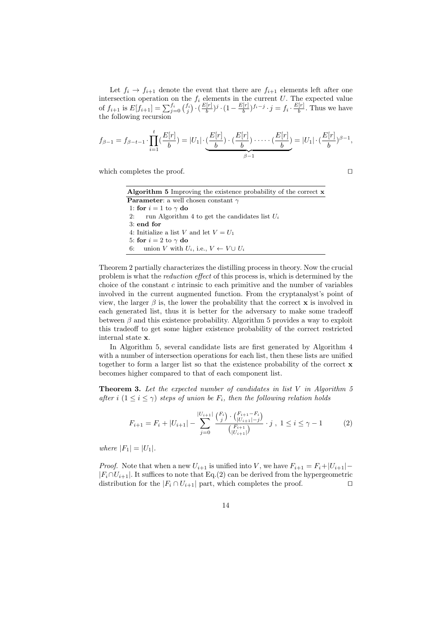Let  $f_i \rightarrow f_{i+1}$  denote the event that there are  $f_{i+1}$  elements left after one intersection operation on the *f<sup>i</sup>* elements in the current *U*. The expected value of  $f_{i+1}$  is  $E[f_{i+1}] = \sum_{j=0}^{f_i} {f_i \choose j} \cdot (\frac{E[r]}{b} + \sum_{j=0}^{f_i}$  $\frac{b'[r]}{b}$ <sup>*j*</sup> ·  $(1 - \frac{E[r]}{b})$ *f*<sub>*i*</sub><sup>*n*</sup>  $\cdot$ *j* = *f*<sub>*i*</sub>  $\cdot$   $\frac{E[r]}{b}$  $\frac{p}{b}$ . Thus we have the following recursion

$$
f_{\beta-1} = f_{\beta-t-1} \cdot \prod_{i=1}^t \left(\frac{E[r]}{b}\right) = |U_1| \cdot \underbrace{\left(\frac{E[r]}{b}\right) \cdot \left(\frac{E[r]}{b}\right) \cdot \cdots \cdot \left(\frac{E[r]}{b}\right)}_{\beta-1} = |U_1| \cdot \left(\frac{E[r]}{b}\right)^{\beta-1},
$$

which completes the proof. *⊓⊔*

| <b>Algorithm 5</b> Improving the existence probability of the correct $x$ |
|---------------------------------------------------------------------------|
| <b>Parameter</b> : a well chosen constant $\gamma$                        |
| 1: for $i = 1$ to $\gamma$ do                                             |
| 2: run Algorithm 4 to get the candidates list $U_i$                       |
| $3:$ end for                                                              |
| 4: Initialize a list V and let $V = U_1$                                  |
| 5: for $i = 2$ to $\gamma$ do                                             |
| 6: union V with $U_i$ , i.e., $V \leftarrow V \cup U_i$                   |

Theorem 2 partially characterizes the distilling process in theory. Now the crucial problem is what the *reduction effect* of this process is, which is determined by the choice of the constant *c* intrinsic to each primitive and the number of variables involved in the current augmented function. From the cryptanalyst's point of view, the larger  $\beta$  is, the lower the probability that the correct **x** is involved in each generated list, thus it is better for the adversary to make some tradeoff between  $\beta$  and this existence probability. Algorithm 5 provides a way to exploit this tradeoff to get some higher existence probability of the correct restricted internal state **x**.

In Algorithm 5, several candidate lists are first generated by Algorithm 4 with a number of intersection operations for each list, then these lists are unified together to form a larger list so that the existence probability of the correct **x** becomes higher compared to that of each component list.

**Theorem 3.** *Let the expected number of candidates in list V in Algorithm 5 after i*  $(1 \leq i \leq \gamma)$  *steps of union be*  $F_i$ *, then the following relation holds* 

$$
F_{i+1} = F_i + |U_{i+1}| - \sum_{j=0}^{|U_{i+1}|} \frac{\binom{F_i}{j} \cdot \binom{F_{i+1} - F_i}{|U_{i+1}| - j}}{\binom{F_{i+1}}{|U_{i+1}|}} \cdot j \ , \ 1 \le i \le \gamma - 1 \tag{2}
$$

 $where |F_1| = |U_1|$ .

*Proof.* Note that when a new  $U_{i+1}$  is unified into *V*, we have  $F_{i+1} = F_i + |U_{i+1}| |F_i \cap U_{i+1}|$ . It suffices to note that Eq.(2) can be derived from the hypergeometric distribution for the  $|F_i \cap U_{i+1}|$  part, which completes the proof.  $\Box$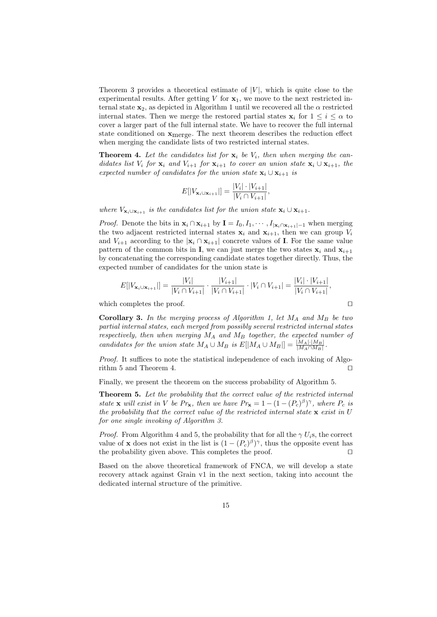Theorem 3 provides a theoretical estimate of  $|V|$ , which is quite close to the experimental results. After getting  $V$  for  $\mathbf{x}_1$ , we move to the next restricted internal state  $\mathbf{x}_2$ , as depicted in Algorithm 1 until we recovered all the  $\alpha$  restricted internal states. Then we merge the restored partial states  $\mathbf{x}_i$  for  $1 \leq i \leq \alpha$  to cover a larger part of the full internal state. We have to recover the full internal state conditioned on **x**merge. The next theorem describes the reduction effect when merging the candidate lists of two restricted internal states.

**Theorem 4.** Let the candidates list for  $x_i$  be  $V_i$ , then when merging the can*didates list*  $V_i$  *for*  $\mathbf{x}_i$  *and*  $V_{i+1}$  *for*  $\mathbf{x}_{i+1}$  *to cover an union state*  $\mathbf{x}_i \cup \mathbf{x}_{i+1}$ *, the expected number of candidates for the union state*  $\mathbf{x}_i \cup \mathbf{x}_{i+1}$  *is* 

$$
E[|V_{\mathbf{x}_i \cup \mathbf{x}_{i+1}}|] = \frac{|V_i| \cdot |V_{i+1}|}{|V_i \cap V_{i+1}|},
$$

*where*  $V_{\mathbf{x}_i \cup \mathbf{x}_{i+1}}$  *is the candidates list for the union state*  $\mathbf{x}_i \cup \mathbf{x}_{i+1}$ *.* 

*Proof.* Denote the bits in  $\mathbf{x}_i \cap \mathbf{x}_{i+1}$  by  $\mathbf{I} = I_0, I_1, \cdots, I_{|\mathbf{x}_i \cap \mathbf{x}_{i+1}|-1}$  when merging the two adjacent restricted internal states  $\mathbf{x}_i$  and  $\mathbf{x}_{i+1}$ , then we can group  $V_i$ and  $V_{i+1}$  according to the  $|\mathbf{x}_i \cap \mathbf{x}_{i+1}|$  concrete values of **I**. For the same value pattern of the common bits in **I**, we can just merge the two states  $\mathbf{x}_i$  and  $\mathbf{x}_{i+1}$ by concatenating the corresponding candidate states together directly. Thus, the expected number of candidates for the union state is

$$
E[|V_{\mathbf{x}_i \cup \mathbf{x}_{i+1}}|] = \frac{|V_i|}{|V_i \cap V_{i+1}|} \cdot \frac{|V_{i+1}|}{|V_i \cap V_{i+1}|} \cdot |V_i \cap V_{i+1}| = \frac{|V_i| \cdot |V_{i+1}|}{|V_i \cap V_{i+1}|},
$$

which completes the proof. *⊓⊔*

**Corollary 3.** *In the merging process of Algorithm 1, let M<sup>A</sup> and M<sup>B</sup> be two partial internal states, each merged from possibly several restricted internal states respectively, then when merging M<sup>A</sup> and M<sup>B</sup> together, the expected number of* candidates for the union state  $M_A \cup M_B$  is  $E[|M_A \cup M_B|] = \frac{|M_A| \cdot |M_B|}{|M_A \cap M_B|}$ .

*Proof.* It suffices to note the statistical independence of each invoking of Algorithm 5 and Theorem 4. *⊓⊔*

Finally, we present the theorem on the success probability of Algorithm 5.

**Theorem 5.** *Let the probability that the correct value of the restricted internal state* **x** *will exist in V be*  $Pr$ **x**, then we have  $Pr$ **x** = 1 − (1 −  $(P_c)^{\beta}$ )<sup> $\gamma$ </sup>, where  $P_c$  *is the probability that the correct value of the restricted internal state* **x** *exist in U for one single invoking of Algorithm 3.*

*Proof.* From Algorithm 4 and 5, the probability that for all the  $\gamma U_i$ s, the correct value of **x** does not exist in the list is  $(1 - (P_c)^{\beta})^{\gamma}$ , thus the opposite event has the probability given above. This completes the proof. *⊓⊔*

Based on the above theoretical framework of FNCA, we will develop a state recovery attack against Grain v1 in the next section, taking into account the dedicated internal structure of the primitive.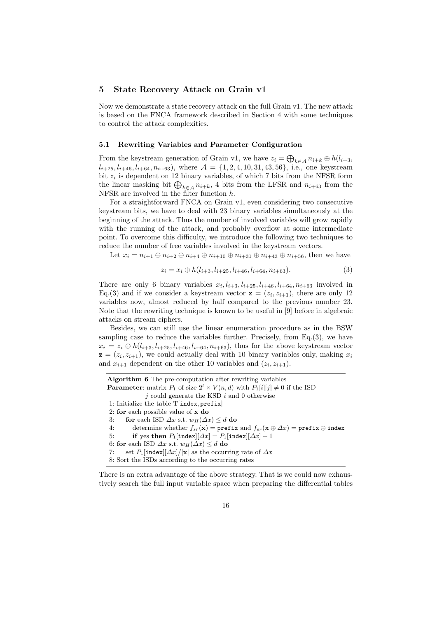### **5 State Recovery Attack on Grain v1**

Now we demonstrate a state recovery attack on the full Grain v1. The new attack is based on the FNCA framework described in Section 4 with some techniques to control the attack complexities.

#### **5.1 Rewriting Variables and Parameter Configuration**

From the keystream generation of Grain v1, we have  $z_i = \bigoplus_{k \in \mathcal{A}} n_{i+k} \oplus h(l_{i+3},$  $l_{i+25}, l_{i+46}, l_{i+64}, n_{i+63}$ , where  $A = \{1, 2, 4, 10, 31, 43, 56\}$ , i.e., one keystream bit  $z_i$  is dependent on 12 binary variables, of which 7 bits from the NFSR form the linear masking bit  $\bigoplus_{k \in A} n_{i+k}$ , 4 bits from the LFSR and  $n_{i+63}$  from the NFSR are involved in the filter function *h*.

For a straightforward FNCA on Grain v1, even considering two consecutive keystream bits, we have to deal with 23 binary variables simultaneously at the beginning of the attack. Thus the number of involved variables will grow rapidly with the running of the attack, and probably overflow at some intermediate point. To overcome this difficulty, we introduce the following two techniques to reduce the number of free variables involved in the keystream vectors.

Let  $x_i = n_{i+1} \oplus n_{i+2} \oplus n_{i+4} \oplus n_{i+10} \oplus n_{i+31} \oplus n_{i+43} \oplus n_{i+56}$ , then we have

$$
z_i = x_i \oplus h(l_{i+3}, l_{i+25}, l_{i+46}, l_{i+64}, n_{i+63}). \tag{3}
$$

There are only 6 binary variables  $x_i, l_{i+3}, l_{i+25}, l_{i+46}, l_{i+64}, n_{i+63}$  involved in Eq.(3) and if we consider a keystream vector  $z = (z_i, z_{i+1})$ , there are only 12 variables now, almost reduced by half compared to the previous number 23. Note that the rewriting technique is known to be useful in [9] before in algebraic attacks on stream ciphers.

Besides, we can still use the linear enumeration procedure as in the BSW sampling case to reduce the variables further. Precisely, from  $Eq.(3)$ , we have  $x_i = z_i \oplus h(l_{i+3}, l_{i+25}, l_{i+46}, l_{i+64}, n_{i+63})$ , thus for the above keystream vector  $z = (z_i, z_{i+1})$ , we could actually deal with 10 binary variables only, making  $x_i$ and  $x_{i+1}$  dependent on the other 10 variables and  $(z_i, z_{i+1})$ .

**Algorithm 6** The pre-computation after rewriting variables **Parameter**: matrix  $P_1$  of size  $2^l \times V(n,d)$  with  $P_1[i][j] \neq 0$  if the ISD *j* could generate the KSD *i* and 0 otherwise 1: Initialize the table T[index*,* prefix] 2: **for** each possible value of **x do** 3: **for** each ISD  $\Delta x$  s.t.  $w_H(\Delta x) \leq d$  **do** 4: determine whether  $f_{sr}(\mathbf{x}) = \text{prefix}$  and  $f_{sr}(\mathbf{x} \oplus \Delta x) = \text{prefix} \oplus \text{index}$ 5: **if** yes **then**  $P_1$ [index][ $\Delta x$ ] =  $P_1$ [index][ $\Delta x$ ] + 1 6: **for** each ISD *∆x* s.t. *wH*(*∆x*) *≤ d* **do** 7: set  $P_1$ [index][ $\Delta x$ ]/|x| as the occurring rate of  $\Delta x$ 8: Sort the ISDs according to the occurring rates

There is an extra advantage of the above strategy. That is we could now exhaustively search the full input variable space when preparing the differential tables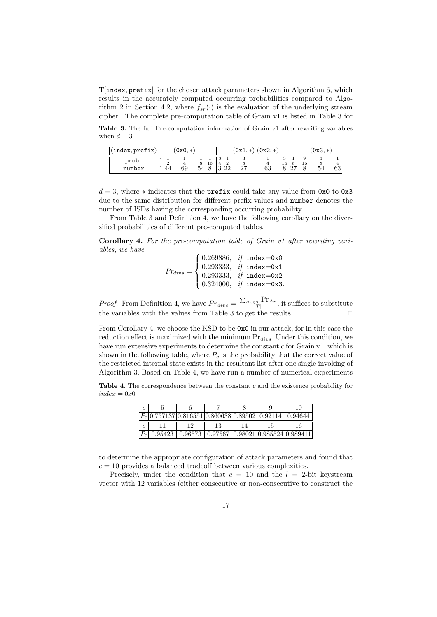T[index*,* prefix] for the chosen attack parameters shown in Algorithm 6, which results in the accurately computed occurring probabilities compared to Algorithm 2 in Section 4.2, where  $f_{sr}(\cdot)$  is the evaluation of the underlying stream cipher. The complete pre-computation table of Grain v1 is listed in Table 3 for

**Table 3.** The full Pre-computation information of Grain v1 after rewriting variables when  $d = 3$ 

| index.prefix |    | 0x0.<br>$\ast$ |    |          | 0x1<br>ж | '0x2<br>$\ast$ |    |        | ′0х3.<br>ж |                |
|--------------|----|----------------|----|----------|----------|----------------|----|--------|------------|----------------|
| prob.        |    |                | 16 |          |          |                | 16 |        |            |                |
| number       | 44 | 69             | 54 | ററ<br>∠∠ | ົ<br>↵   | 63             |    | ົ<br>∸ | 54         | $\alpha$<br>oə |

*d* = 3, where *∗* indicates that the prefix could take any value from 0x0 to 0x3 due to the same distribution for different prefix values and number denotes the number of ISDs having the corresponding occurring probability.

From Table 3 and Definition 4, we have the following corollary on the diversified probabilities of different pre-computed tables.

**Corollary 4.** *For the pre-computation table of Grain v1 after rewriting variables, we have*

 $Pr_{divs} =$  $\sqrt{ }$  $\Big\}$  $\overline{\mathcal{L}}$ 0*.*269886*, if* index*=*0x0 0*.*293333*, if* index*=*0x1 0*.*293333*, if* index*=*0x2 0*.*324000*, if* index*=*0x3*.*

*Proof.* From Definition 4, we have  $Pr_{divs} = \frac{\sum_{\Delta x \in T} Pr_{\Delta x}}{|T|}$  $\frac{f(T+1)}{|T|}$ , it suffices to substitute the variables with the values from Table 3 to get the results. *⊓⊔*

From Corollary 4, we choose the KSD to be 0x0 in our attack, for in this case the reduction effect is maximized with the minimum Pr*divs*. Under this condition, we have run extensive experiments to determine the constant *c* for Grain v1, which is shown in the following table, where *P<sup>c</sup>* is the probability that the correct value of the restricted internal state exists in the resultant list after one single invoking of Algorithm 3. Based on Table 4, we have run a number of numerical experiments

**Table 4.** The correspondence between the constant *c* and the existence probability for  $index = 0x0$ 

| $\epsilon$ |                                                                                                                    |  | 10 |
|------------|--------------------------------------------------------------------------------------------------------------------|--|----|
|            | $\left P_c\right $ 0.757137 $\left 0.816551\right $ 0.860638 $\left 0.89502\right $ 0.92114 $\left 0.94644\right $ |  |    |
| $\epsilon$ |                                                                                                                    |  |    |
|            |                                                                                                                    |  |    |

to determine the appropriate configuration of attack parameters and found that  $c = 10$  provides a balanced tradeoff between various complexities.

Precisely, under the condition that  $c = 10$  and the  $l = 2$ -bit keystream vector with 12 variables (either consecutive or non-consecutive to construct the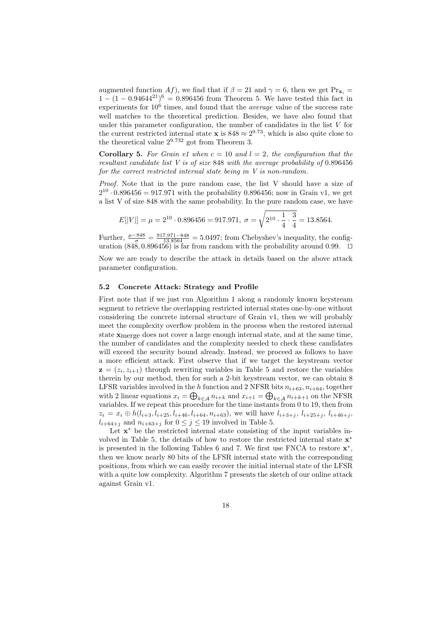augmented function *Af*), we find that if  $\beta = 21$  and  $\gamma = 6$ , then we get Pr<sub>x<sub>*i</sub>* =</sub></sub> 1 *−* (1 *−* 0*.*94644<sup>21</sup>) <sup>6</sup> = 0*.*896456 from Theorem 5. We have tested this fact in experiments for  $10^6$  times, and found that the *average* value of the success rate well matches to the theoretical prediction. Besides, we have also found that under this parameter configuration, the number of candidates in the list *V* for the current restricted internal state **x** is  $848 \approx 2^{9.73}$ , which is also quite close to the theoretical value 2<sup>9</sup>*.*<sup>732</sup> got from Theorem 3.

**Corollary 5.** For Grain v1 when  $c = 10$  and  $l = 2$ , the configuration that the *resultant candidate list V is of size* 848 *with the average probability of* 0*.*896456 *for the correct restricted internal state being in V is non-random.*

*Proof.* Note that in the pure random case, the list V should have a size of  $2^{10} \cdot 0.896456 = 917.971$  with the probability 0.896456; now in Grain v1, we get a list V of size 848 with the same probability. In the pure random case, we have

$$
E[|V|] = \mu = 2^{10} \cdot 0.896456 = 917.971, \ \sigma = \sqrt{2^{10} \cdot \frac{1}{4} \cdot \frac{3}{4}} = 13.8564.
$$

Further,  $\frac{\mu - 848}{\sigma} = \frac{917.971 - 848}{13.8564} = 5.0497$ ; from Chebyshev's inequality, the configuration (848*,* 0*.*896456) is far from random with the probability around 0*.*99. *⊓⊔*

Now we are ready to describe the attack in details based on the above attack parameter configuration.

#### **5.2 Concrete Attack: Strategy and Profile**

First note that if we just run Algorithm 1 along a randomly known keystream segment to retrieve the overlapping restricted internal states one-by-one without considering the concrete internal structure of Grain v1, then we will probably meet the complexity overflow problem in the process when the restored internal state **x**merge does not cover a large enough internal state, and at the same time, the number of candidates and the complexity needed to check these candidates will exceed the security bound already. Instead, we proceed as follows to have a more efficient attack. First observe that if we target the keystream vector  $z = (z_i, z_{i+1})$  through rewriting variables in Table 5 and restore the variables therein by our method, then for such a 2-bit keystream vector, we can obtain 8 LFSR variables involved in the *h* function and 2 NFSR bits  $n_{i+63}, n_{i+64}$ , together with 2 linear equations  $x_i = \bigoplus_{k \in A} n_{i+k}$  and  $x_{i+1} = \bigoplus_{k \in A} n_{i+k+1}$  on the NFSR variables. If we repeat this procedure for the time instants from 0 to 19, then from  $z_i = x_i \oplus h(l_{i+3}, l_{i+25}, l_{i+46}, l_{i+64}, n_{i+63})$ , we will have  $l_{i+3+j}, l_{i+25+j}, l_{i+46+j}$ ,  $l_{i+64+j}$  and  $n_{i+63+j}$  for  $0 \leq j \leq 19$  involved in Table 5.

Let  $\mathbf{x}^*$  be the restricted internal state consisting of the input variables involved in Table 5, the details of how to restore the restricted internal state **x** *∗* is presented in the following Tables 6 and 7. We first use FNCA to restore **x** *∗* , then we know nearly 80 bits of the LFSR internal state with the corresponding positions, from which we can easily recover the initial internal state of the LFSR with a quite low complexity. Algorithm 7 presents the sketch of our online attack against Grain v1.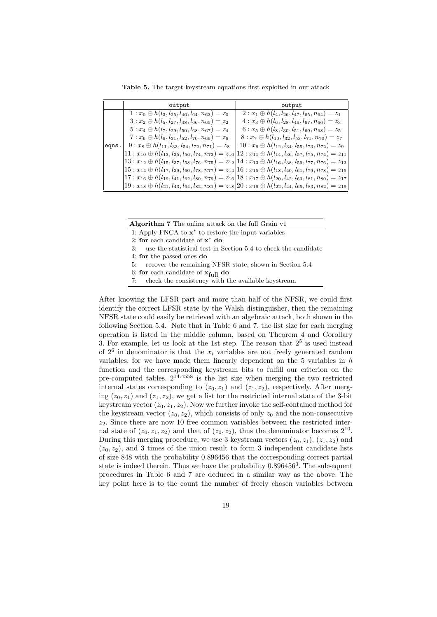**Table 5.** The target keystream equations first exploited in our attack

|       | output                                                          | output                                                                                                                                                  |
|-------|-----------------------------------------------------------------|---------------------------------------------------------------------------------------------------------------------------------------------------------|
|       | $1: x_0 \oplus h(l_3, l_{25}, l_{46}, l_{64}, n_{63}) = z_0$    | $2: x_1 \oplus h(l_4, l_{26}, l_{47}, l_{65}, n_{64}) = z_1$                                                                                            |
|       | $3: x_2 \oplus h(l_5, l_{27}, l_{48}, l_{66}, n_{65}) = z_2$    | $4: x_3 \oplus h(l_6, l_{28}, l_{49}, l_{67}, n_{66}) = z_3$                                                                                            |
|       | $5: x_4 \oplus h(l_7, l_{29}, l_{50}, l_{68}, n_{67}) = z_4$    | $6: x_5 \oplus h(l_8, l_{30}, l_{51}, l_{69}, n_{68}) = z_5$                                                                                            |
|       | $7: x_6 \oplus h(l_9, l_{31}, l_{52}, l_{70}, n_{69}) = z_6$    | $8: x_7 \oplus h(l_{10}, l_{32}, l_{53}, l_{71}, n_{70}) = z_7$                                                                                         |
| eqns. | $9: x_8 \oplus h(l_{11}, l_{33}, l_{54}, l_{72}, n_{71}) = z_8$ | $10: x_9 \oplus h(l_{12}, l_{34}, l_{55}, l_{73}, n_{72}) = z_9$                                                                                        |
|       |                                                                 | $11: x_{10} \oplus h(l_{13}, l_{35}, l_{56}, l_{74}, n_{73}) = z_{10} \vert 12: x_{11} \oplus h(l_{14}, l_{36}, l_{57}, l_{75}, n_{74}) = z_{11} \vert$ |
|       |                                                                 | $13: x_{12} \oplus h(l_{15}, l_{37}, l_{58}, l_{76}, n_{75}) = z_{12} \cdot 14: x_{13} \oplus h(l_{16}, l_{38}, l_{59}, l_{77}, n_{76}) = z_{13}$       |
|       |                                                                 | $15: x_{14} \oplus h(l_{17}, l_{39}, l_{60}, l_{78}, n_{77}) = z_{14} \big  16: x_{15} \oplus h(l_{18}, l_{40}, l_{61}, l_{79}, n_{78}) = z_{15} \big $ |
|       |                                                                 | $17: x_{16} \oplus h(l_{19}, l_{41}, l_{62}, l_{80}, n_{79}) = z_{16} \big  18: x_{17} \oplus h(l_{20}, l_{42}, l_{63}, l_{81}, n_{80}) = z_{17} \big $ |
|       |                                                                 | $19: x_{18} \oplus h(l_{21}, l_{43}, l_{64}, l_{82}, n_{81}) = z_{18} \vert 20: x_{19} \oplus h(l_{22}, l_{44}, l_{65}, l_{83}, n_{82}) = z_{19} \vert$ |

**Algorithm 7** The online attack on the full Grain v1

1: Apply FNCA to **x** *∗* to restore the input variables

2: **for** each candidate of **x** *<sup>∗</sup>* **do**

3: use the statistical test in Section 5.4 to check the candidate

4: **for** the passed ones **do**

5: recover the remaining NFSR state, shown in Section 5.4

6: **for** each candidate of  $\mathbf{x}_{full}$  **do**<br>7: check the consistency with t

check the consistency with the available keystream

After knowing the LFSR part and more than half of the NFSR, we could first identify the correct LFSR state by the Walsh distinguisher, then the remaining NFSR state could easily be retrieved with an algebraic attack, both shown in the following Section 5.4. Note that in Table 6 and 7, the list size for each merging operation is listed in the middle column, based on Theorem 4 and Corollary 3. For example, let us look at the 1st step. The reason that  $2<sup>5</sup>$  is used instead of  $2^6$  in denominator is that the  $x_i$  variables are not freely generated random variables, for we have made them linearly dependent on the 5 variables in *h* function and the corresponding keystream bits to fulfill our criterion on the pre-computed tables. 2<sup>14</sup>*.*<sup>4558</sup> is the list size when merging the two restricted internal states corresponding to  $(z_0, z_1)$  and  $(z_1, z_2)$ , respectively. After merging  $(z_0, z_1)$  and  $(z_1, z_2)$ , we get a list for the restricted internal state of the 3-bit keystream vector  $(z_0, z_1, z_2)$ . Now we further invoke the self-contained method for the keystream vector  $(z_0, z_2)$ , which consists of only  $z_0$  and the non-consecutive *z*2. Since there are now 10 free common variables between the restricted internal state of  $(z_0, z_1, z_2)$  and that of  $(z_0, z_2)$ , thus the denominator becomes  $2^{10}$ . During this merging procedure, we use 3 keystream vectors  $(z_0, z_1)$ ,  $(z_1, z_2)$  and  $(z_0, z_2)$ , and 3 times of the union result to form 3 independent candidate lists of size 848 with the probability 0*.*896456 that the corresponding correct partial state is indeed therein. Thus we have the probability  $0.896456<sup>3</sup>$ . The subsequent procedures in Table 6 and 7 are deduced in a similar way as the above. The key point here is to the count the number of freely chosen variables between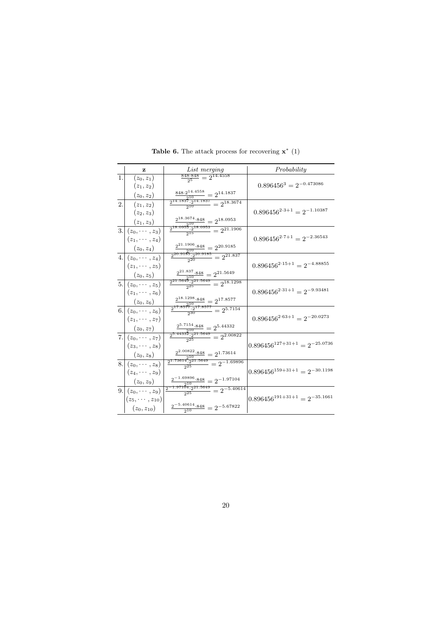|    | z                       | List merging                                                                                               | Probability                                           |
|----|-------------------------|------------------------------------------------------------------------------------------------------------|-------------------------------------------------------|
| 1. | $(z_0, z_1)$            | $\frac{848.848}{2^5} = 2^{14.4558}$                                                                        |                                                       |
|    | $(z_1, z_2)$            |                                                                                                            | $0.896456^3=2^{-0.473086}\,$                          |
|    | $(z_0, z_2)$            | $\frac{\frac{848.2^{14.4558}}{2^{10}}}{\frac{2^{14.1837}.2^{10}}{2^{10}} = 2^{14.1837}} = 2^{18.3674}$     |                                                       |
| 2. | $(z_1, z_2)$            |                                                                                                            |                                                       |
|    |                         |                                                                                                            | $0.896456^{2 \cdot 3 + 1} = 2^{-1.10387}$             |
|    | $(z_2, z_3)$            |                                                                                                            |                                                       |
|    | $(z_1, z_3)$            | $\frac{2^{18.3674} \cdot 848}{10} = 2^{18.0953}$                                                           |                                                       |
|    | 3. $(z_0, \cdots, z_3)$ | $\frac{2^{18.0953} \cdot 2^{10}}{2^{15}} = 2^{21.1906}$                                                    |                                                       |
|    | $(z_1,\cdots,z_4)$      |                                                                                                            | $0.896456^{2\cdot 7+1} = 2^{-2.36543}$                |
|    |                         | $\frac{2^{21.1906} \cdot 848}{2^{10}} = 2^{20.9185}$                                                       |                                                       |
|    | $(z_0, z_4)$            |                                                                                                            |                                                       |
|    | 4. $(z_0, \cdots, z_4)$ | $\frac{2^{20.9185} \cdot 2^{20.9185} - 2}{2^{20}} = 2^{21.837}$                                            |                                                       |
|    | $(z_1,\cdots,z_5)$      |                                                                                                            | $0.896456^{2\cdot15+1} = 2^{-4.88855}$                |
|    |                         |                                                                                                            |                                                       |
|    | $(z_0, z_5)$            | $\frac{\frac{2^{21.837}\cdot 848}{2^{10}}}{\frac{2^{21.5649}\cdot 2^{21.5649}}{2^{25}}}=2^{18.1298}$       |                                                       |
|    | $5. (z_0,\cdots,z_5) $  |                                                                                                            |                                                       |
|    | $(z_1,\cdots,z_6)$      |                                                                                                            | $0.896456^{2\cdot31+1}=2^{-9.93481}$                  |
|    | $(z_0, z_6)$            | $\frac{\frac{2^{18.1298}\cdot 848}{2^{10}}}{\frac{2^{17.8577}\cdot 2^{17.8577}}{2^{30}}}=2^{5.7154}$       |                                                       |
|    | 6. $(z_0, \cdots, z_6)$ |                                                                                                            |                                                       |
|    |                         |                                                                                                            | $0.896456^{2\cdot 63+1} = 2^{-20.0273}$               |
|    | $(z_1,\cdots,z_7)$      |                                                                                                            |                                                       |
|    | $(z_0, z_7)$            |                                                                                                            |                                                       |
|    | 7. $(z_0, \cdots, z_7)$ | $\frac{\frac{2^{5.7154}\cdot 848}{2^{10}}}{\frac{2^{5.44332}\cdot 2^{21.5649}}{2^{25}}}=2^{2.00822}$       |                                                       |
|    | $(z_3,\cdots,z_8)$      |                                                                                                            | $0.896456^{127+31+1} = 2^{-25.0736}$                  |
|    |                         |                                                                                                            |                                                       |
|    | $(z_0, z_8)$            |                                                                                                            |                                                       |
|    | 8. $(z_0, \cdots, z_8)$ | $\frac{\frac{2^{2.00822}\cdot 848}{2^{10}}}{\frac{2^{1.73614}\cdot 2^{21.5649}}{2^{25}}}=2^{-1.69896}$     |                                                       |
|    | $(z_4,\cdots,z_9)$      |                                                                                                            | $0.896456^{159+31+1} = 2^{-30.1198}$                  |
|    | $(z_0, z_9)$            |                                                                                                            |                                                       |
|    | 9. $(z_0, \cdots, z_9)$ | $\frac{\frac{2^{-1.69896}\cdot 848}{2^{10}}}{\frac{2^{-1.97104}\cdot 2^{21.5649}}{2^{25}} = 2^{-5.40614}}$ |                                                       |
|    | $(z_5, \cdots, z_{10})$ |                                                                                                            | $0.896456^{\textcolor{red}{191+31+1}} = 2^{-35.1661}$ |
|    | $(z_0, z_{10})$         | $\frac{2^{-5.40614} \cdot 848}{2^{10}} = 2^{-5.67822}$                                                     |                                                       |

**Table 6.** The attack process for recovering  $\mathbf{x}^*$  (1)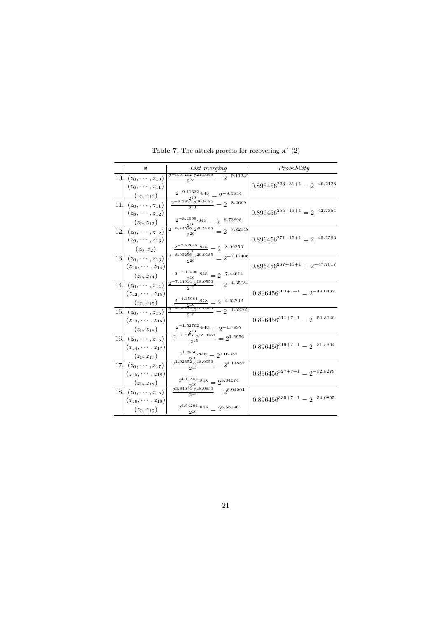|     | z                             | List merging                                                                                              | Probability                          |
|-----|-------------------------------|-----------------------------------------------------------------------------------------------------------|--------------------------------------|
|     | 10. $(z_0, \cdots, z_{10})$   | $\frac{2^{-5.67262} \cdot 2^{21.5649}}{2} = 2^{-9.11332}$<br>$2^{25}$                                     |                                      |
|     | $(z_6, \cdots, z_{11})$       |                                                                                                           | $0.896456^{223+31+1} = 2^{-40.2123}$ |
|     | $(z_0, z_{11})$               | $\frac{2^{-9.11332} \cdot 848}{2^{10}} = 2^{-9.3854}$                                                     |                                      |
| 11. | $(z_0,\cdots,z_{11})$         | $\frac{\frac{2^{10}}{2^{10}}}{2^{20}} = 2^{-8.4669}$                                                      |                                      |
|     | $(z_8, \cdots, z_{12})$       |                                                                                                           | $0.896456^{255+15+1} = 2^{-42.7354}$ |
|     | $(z_0, z_{12})$               | $\frac{2^{-8.4669} \cdot 848}{10} = 2^{-8.73898}$                                                         |                                      |
|     | $12.   (z_0, \cdots, z_{12})$ | $\frac{2^{-8.73898} \cdot 2^{20.9185}}{2^{20}} = 2^{-7.82048}$                                            |                                      |
|     | $(z_9, \cdots, z_{13})$       |                                                                                                           | $0.896456^{271+15+1} = 2^{-45.2586}$ |
|     | $(z_0, z_2)$                  | $\frac{2^{-7.82048} \cdot 848}{10} = 2^{-8.09256}$                                                        |                                      |
|     | 13. $(z_0, \cdots, z_{13})$   | $\frac{2^{10}}{2^{20}} = 2 \times 17406$                                                                  |                                      |
|     | $(z_{10}, \cdots, z_{14})$    |                                                                                                           | $0.896456^{287+15+1} = 2^{-47.7817}$ |
|     | $(z_0, z_{14})$               | $\frac{2^{-7.17406} \cdot 848}{10} = 2^{-7.44614}$                                                        |                                      |
|     | 14. $(z_0, \cdots, z_{14})$   | $\frac{\frac{2}{2}-7.44614_{.2}18.0953}{2^{15}} = 2^{-4.35084}$                                           |                                      |
|     | $(z_{12}, \cdots, z_{15})$    |                                                                                                           | $0.896456^{303+7+1} = 2^{-49.0432}$  |
|     | $(z_0, z_{15})$               | $\frac{2^{-4.35084} \cdot 848}{210} = 2^{-4.62292}$                                                       |                                      |
|     | $15.   (z_0, \cdots, z_{15})$ | $\frac{2^{10}}{2^{15}} = 2$ $\frac{2^{-4.62292} \cdot 2^{18.0953}}{2^{15}} = 2^{-1.52762}$                |                                      |
|     | $(z_{13}, \cdots, z_{16})$    |                                                                                                           | $0.896456^{311+7+1} = 2^{-50.3048}$  |
|     | $(z_0, z_{16})$               | $\frac{2^{-1.52762} \cdot 848}{10} = 2^{-1.7997}$                                                         |                                      |
|     | 16. $(z_0, \cdots, z_{16})$   | $\frac{\frac{2}{2}-1.7997.2^{18.0953}}{2^{15}} = 2^{1.2956}$                                              |                                      |
|     | $(z_{14}, \cdots, z_{17})$    |                                                                                                           | $0.896456^{319+7+1} = 2^{-51.5664}$  |
|     | $(z_0, z_{17})$               |                                                                                                           |                                      |
|     | 17. $(z_0, \cdots, z_{17})$   | $\frac{\frac{2^{1.2956}\cdot 848}{2^{10}}}{\frac{2^{1.02352}\cdot 2^{18\cdot 0953}}{2^{15}}}=2^{4.11882}$ |                                      |
|     | $(z_{15}, \cdots, z_{18})$    |                                                                                                           | $0.896456^{327+7+1} = 2^{-52.8279}$  |
|     | $(z_0, z_{18})$               | $\frac{2^{4.11882} \cdot 848}{10} = 2^{3.84674}$                                                          |                                      |
|     | $18.   (z_0, \cdots, z_{18})$ | $\frac{\overline{13.84674}^{10} - 2}{\overline{2^{15}}} = 2^{6.94204}$                                    |                                      |
|     | $(z_{16}, \cdots, z_{19})$    |                                                                                                           | $0.896456^{335+7+1} = 2^{-54.0895}$  |
|     | $(z_0, z_{19})$               | $\frac{2^{6.94204}\cdot 848}{2^{10}} = 2^{6.66996}$                                                       |                                      |

**Table 7.** The attack process for recovering **x** *∗* (2)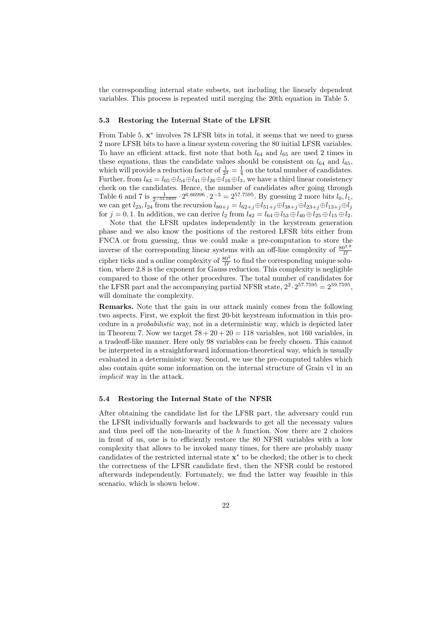the corresponding internal state subsets, not including the linearly dependent variables. This process is repeated until merging the 20th equation in Table 5.

#### **5.3 Restoring the Internal State of the LFSR**

From Table 5,  $x^*$  involves 78 LFSR bits in total, it seems that we need to guess 2 more LFSR bits to have a linear system covering the 80 initial LFSR variables. To have an efficient attack, first note that both  $l_{64}$  and  $l_{65}$  are used 2 times in these equations, thus the candidate values should be consistent on  $l_{64}$  and  $l_{65}$ , which will provide a reduction factor of  $\frac{1}{2^2} = \frac{1}{4}$  on the total number of candidates. Further, from  $l_{83} = l_{65} \oplus l_{54} \oplus l_{41} \oplus l_{26} \oplus l_{16} \oplus l_3$ , we have a third linear consistency check on the candidates. Hence, the number of candidates after going through Table 6 and 7 is  $\frac{1}{2^{-54.0895}} \cdot 2^{6.66996} \cdot 2^{-3} = 2^{57.7595}$ . By guessing 2 more bits  $l_0, l_1$ , we can get  $l_{23}$ ,  $l_{24}$  from the recursion  $l_{80+j} = l_{62+j} \oplus l_{51+j} \oplus l_{38+j} \oplus l_{23+j} \oplus l_{13+j} \oplus l_{j}$ for  $j = 0, 1$ . In addition, we can derive  $l_2$  from  $l_{82} = l_{64} \oplus l_{53} \oplus l_{40} \oplus l_{25} \oplus l_{15} \oplus l_2$ .

Note that the LFSR updates independently in the keystream generation phase and we also know the positions of the restored LFSR bits either from FNCA or from guessing, thus we could make a pre-computation to store the inverse of the corresponding linear systems with an off-line complexity of  $\frac{80^{2.8}}{\Omega}$  cipher ticks and a online complexity of  $\frac{80^{2}}{\Omega}$  to find the corresponding unique solution, where 2*.*8 is the exponent for Gauss reduction. This complexity is negligible compared to those of the other procedures. The total number of candidates for the LFSR part and the accompanying partial NFSR state,  $2^2 \cdot 2^{57.7595} = 2^{59.7595}$ , will dominate the complexity.

**Remarks.** Note that the gain in our attack mainly comes from the following two aspects. First, we exploit the first 20-bit keystream information in this procedure in a *probabilistic* way, not in a deterministic way, which is depicted later in Theorem 7. Now we target  $78 + 20 + 20 = 118$  variables, not 160 variables, in a tradeoff-like manner. Here only 98 variables can be freely chosen. This cannot be interpreted in a straightforward information-theoretical way, which is usually evaluated in a deterministic way. Second, we use the pre-computed tables which also contain quite some information on the internal structure of Grain v1 in an *implicit* way in the attack.

#### **5.4 Restoring the Internal State of the NFSR**

After obtaining the candidate list for the LFSR part, the adversary could run the LFSR individually forwards and backwards to get all the necessary values and thus peel off the non-linearity of the *h* function. Now there are 2 choices in front of us, one is to efficiently restore the 80 NFSR variables with a low complexity that allows to be invoked many times, for there are probably many candidates of the restricted internal state **x** *∗* to be checked; the other is to check the correctness of the LFSR candidate first, then the NFSR could be restored afterwards independently. Fortunately, we find the latter way feasible in this scenario, which is shown below.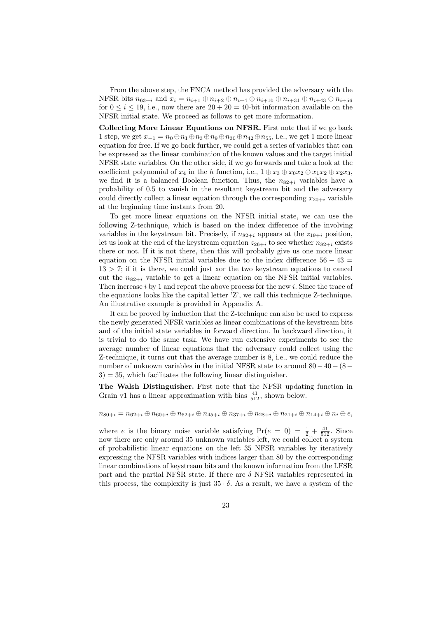From the above step, the FNCA method has provided the adversary with the NFSR bits  $n_{63+i}$  and  $x_i = n_{i+1} \oplus n_{i+2} \oplus n_{i+4} \oplus n_{i+10} \oplus n_{i+31} \oplus n_{i+43} \oplus n_{i+56}$ for  $0 \le i \le 19$ , i.e., now there are  $20 + 20 = 40$ -bit information available on the NFSR initial state. We proceed as follows to get more information.

**Collecting More Linear Equations on NFSR.** First note that if we go back 1 step, we get  $x_{-1} = n_0 \oplus n_1 \oplus n_3 \oplus n_9 \oplus n_{30} \oplus n_{42} \oplus n_{55}$ , i.e., we get 1 more linear equation for free. If we go back further, we could get a series of variables that can be expressed as the linear combination of the known values and the target initial NFSR state variables. On the other side, if we go forwards and take a look at the coefficient polynomial of  $x_4$  in the *h* function, i.e.,  $1 \oplus x_3 \oplus x_0 x_2 \oplus x_1 x_2 \oplus x_2 x_3$ , we find it is a balanced Boolean function. Thus, the  $n_{82+i}$  variables have a probability of 0*.*5 to vanish in the resultant keystream bit and the adversary could directly collect a linear equation through the corresponding  $x_{20+i}$  variable at the beginning time instants from 20.

To get more linear equations on the NFSR initial state, we can use the following Z-technique, which is based on the index difference of the involving variables in the keystream bit. Precisely, if  $n_{82+i}$  appears at the  $z_{19+i}$  position, let us look at the end of the keystream equation  $z_{26+i}$  to see whether  $n_{82+i}$  exists there or not. If it is not there, then this will probably give us one more linear equation on the NFSR initial variables due to the index difference 56 *−* 43 =  $13 > 7$ ; if it is there, we could just xor the two keystream equations to cancel out the  $n_{82+i}$  variable to get a linear equation on the NFSR initial variables. Then increase *i* by 1 and repeat the above process for the new *i*. Since the trace of the equations looks like the capital letter 'Z', we call this technique Z-technique. An illustrative example is provided in Appendix A.

It can be proved by induction that the Z-technique can also be used to express the newly generated NFSR variables as linear combinations of the keystream bits and of the initial state variables in forward direction. In backward direction, it is trivial to do the same task. We have run extensive experiments to see the average number of linear equations that the adversary could collect using the Z-technique, it turns out that the average number is 8, i.e., we could reduce the number of unknown variables in the initial NFSR state to around 80 *−* 40*−* (8 *−*  $3$ ) = 35, which facilitates the following linear distinguisher.

**The Walsh Distinguisher.** First note that the NFSR updating function in Grain v1 has a linear approximation with bias  $\frac{41}{512}$ , shown below.

$$
n_{80+i} = n_{62+i} \oplus n_{60+i} \oplus n_{52+i} \oplus n_{45+i} \oplus n_{37+i} \oplus n_{28+i} \oplus n_{21+i} \oplus n_{14+i} \oplus n_i \oplus e,
$$

where *e* is the binary noise variable satisfying  $Pr(e = 0) = \frac{1}{2} + \frac{41}{512}$ . Since now there are only around 35 unknown variables left, we could collect a system of probabilistic linear equations on the left 35 NFSR variables by iteratively expressing the NFSR variables with indices larger than 80 by the corresponding linear combinations of keystream bits and the known information from the LFSR part and the partial NFSR state. If there are *δ* NFSR variables represented in this process, the complexity is just  $35 \cdot \delta$ . As a result, we have a system of the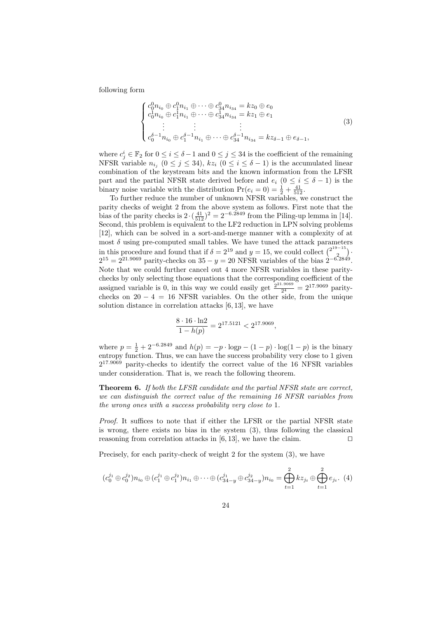following form

$$
\begin{cases}\nc_0^0 n_{i_0} \oplus c_1^0 n_{i_1} \oplus \cdots \oplus c_{34}^0 n_{i_{34}} = kz_0 \oplus e_0 \\
c_0^1 n_{i_0} \oplus c_1^1 n_{i_1} \oplus \cdots \oplus c_{34}^1 n_{i_{34}} = kz_1 \oplus e_1 \\
\vdots \qquad \vdots \qquad \vdots \\
c_0^{\delta-1} n_{i_0} \oplus c_1^{\delta-1} n_{i_1} \oplus \cdots \oplus c_{34}^{\delta-1} n_{i_{34}} = kz_{\delta-1} \oplus e_{\delta-1},\n\end{cases} (3)
$$

where  $c_j^i \in \mathbb{F}_2$  for  $0 \le i \le \delta - 1$  and  $0 \le j \le 34$  is the coefficient of the remaining NFSR variable  $n_{i_j}$  ( $0 \leq j \leq 34$ ),  $kz_i$  ( $0 \leq i \leq \delta - 1$ ) is the accumulated linear combination of the keystream bits and the known information from the LFSR part and the partial NFSR state derived before and  $e_i$  ( $0 \le i \le \delta - 1$ ) is the binary noise variable with the distribution  $Pr(e_i = 0) = \frac{1}{2} + \frac{41}{512}$ .

To further reduce the number of unknown NFSR variables, we construct the parity checks of weight 2 from the above system as follows. First note that the bias of the parity checks is  $2 \cdot (\frac{41}{512})^2 = 2^{-6.2849}$  from the Piling-up lemma in [14]. Second, this problem is equivalent to the LF2 reduction in LPN solving problems [12], which can be solved in a sort-and-merge manner with a complexity of at most  $\delta$  using pre-computed small tables. We have tuned the attack parameters in this procedure and found that if  $\delta = 2^{19}$  and  $y = 15$ , we could collect  $\binom{2^{19}-15}{2}$  $\binom{2}{2}$ .  $2^{15} = 2^{21.9069}$  parity-checks on  $35 - y = 20$  NFSR variables of the bias  $2^{-6.2849}$ . Note that we could further cancel out 4 more NFSR variables in these paritychecks by only selecting those equations that the corresponding coefficient of the assigned variable is 0, in this way we could easily get  $\frac{2^{21.9069}}{24}$  $\frac{2^{17.9069}}{2^4} = 2^{17.9069}$  paritychecks on  $20 - 4 = 16$  NFSR variables. On the other side, from the unique solution distance in correlation attacks [6, 13], we have

$$
\frac{8 \cdot 16 \cdot \ln 2}{1 - h(p)} = 2^{17.5121} < 2^{17.9069},
$$

where  $p = \frac{1}{2} + 2^{-6.2849}$  and  $h(p) = -p \cdot \log p - (1 - p) \cdot \log(1 - p)$  is the binary entropy function. Thus, we can have the success probability very close to 1 given 2 <sup>17</sup>*.*<sup>9069</sup> parity-checks to identify the correct value of the 16 NFSR variables under consideration. That is, we reach the following theorem.

**Theorem 6.** *If both the LFSR candidate and the partial NFSR state are correct, we can distinguish the correct value of the remaining 16 NFSR variables from the wrong ones with a success probability very close to* 1*.*

*Proof.* It suffices to note that if either the LFSR or the partial NFSR state is wrong, there exists no bias in the system (3), thus following the classical reasoning from correlation attacks in [6, 13], we have the claim. *⊓⊔*

Precisely, for each parity-check of weight 2 for the system (3), we have

$$
(c_0^{j_1} \oplus c_0^{j_2}) n_{i_0} \oplus (c_1^{j_1} \oplus c_1^{j_2}) n_{i_1} \oplus \cdots \oplus (c_{34-y}^{j_1} \oplus c_{34-y}^{j_2}) n_{i_0} = \bigoplus_{t=1}^2 k z_{j_t} \oplus \bigoplus_{t=1}^2 e_{j_t}.
$$
 (4)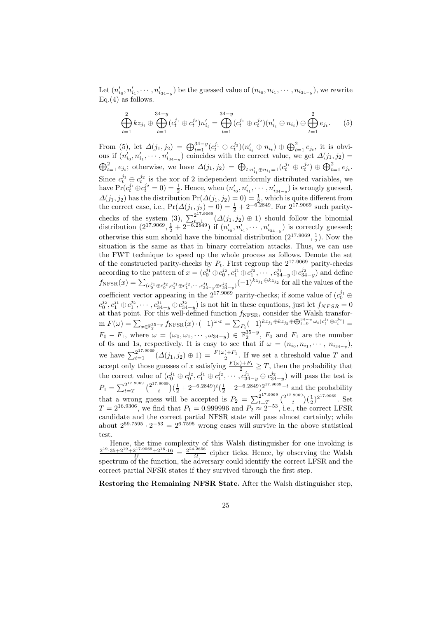Let  $(n'_{i_0}, n'_{i_1}, \cdots, n'_{i_{34-y}})$  be the guessed value of  $(n_{i_0}, n_{i_1}, \cdots, n_{i_{34-y}})$ , we rewrite  $Eq.(4)$  as follows.

$$
\bigoplus_{t=1}^{2} kz_{j_t} \oplus \bigoplus_{t=1}^{34-y} (c_t^{j_1} \oplus c_t^{j_2}) n'_{i_t} = \bigoplus_{t=1}^{34-y} (c_t^{j_1} \oplus c_t^{j_2}) (n'_{i_t} \oplus n_{i_t}) \oplus \bigoplus_{t=1}^{2} e_{j_t}.
$$
 (5)

From (5), let  $\Delta(j_1, j_2) = \bigoplus_{t=1}^{34-y} (c_t^{j_1} \oplus c_t^{j_2}) (n'_{i_t} \oplus n_{i_t}) \oplus \bigoplus_{t=1}^2 e_{j_t}$ , it is obvious if  $(n'_{i_0}, n'_{i_1}, \cdots, n'_{i_{34-y}})$  coincides with the correct value, we get  $\Delta(j_1, j_2)$  =  $\bigoplus_{t=1}^{2} e_{j_t}$ ; otherwise, we have  $\Delta(j_1, j_2) = \bigoplus_{t: n'_{i_t} \oplus n_{i_t} = 1} (c_t^{j_1} \oplus c_t^{j_2}) \oplus \bigoplus_{t=1}^{2} e_{j_t}$ . Since  $c_t^{j_1} \oplus c_t^{j_2}$  is the xor of 2 independent uniformly distributed variables, we since  $c_t \oplus c_t$  is the xor of 2 independent uniformly distributed variables, we<br>have  $Pr(c_t^{j_1} \oplus c_t^{j_2} = 0) = \frac{1}{2}$ . Hence, when  $(n'_{i_0}, n'_{i_1}, \dots, n'_{i_{34-y}})$  is wrongly guessed,  $\Delta(j_1, j_2)$  has the distribution Pr( $\Delta(j_1, j_2) = 0$ ) =  $\frac{1}{2}$ , which is quite different from the correct case, i.e.,  $Pr(\Delta(j_1, j_2) = 0) = \frac{1}{2} + 2^{-6.2849}$ . For  $2^{17.9069}$  such paritychecks of the system (3),  $\sum_{t=1}^{2^{17,9069}} (\Delta(j_1, j_2) \oplus 1)$  should follow the binomial distribution  $(2^{17.9069}, \frac{1}{2} + 2^{-6.2849})$  if  $(n'_{i_0}, n'_{i_1}, \cdots, n'_{i_{34-y}})$  is correctly guessed; otherwise this sum should have the binomial distribution  $(2^{17.9069}, \frac{1}{2})$ . Now the situation is the same as that in binary correlation attacks. Thus, we can use the FWT technique to speed up the whole process as follows. Denote the set of the constructed parity-checks by  $P_t$ . First regroup the  $2^{17,9069}$  parity-checks according to the pattern of  $x = (c_0^{j_1} \oplus c_0^{j_2}, c_1^{j_1} \oplus c_1^{j_2}, \cdots, c_{34-y}^{j_1} \oplus c_{34-y}^{j_2})$  and define  $f_{\text{NFSR}}(x) = \sum_{(c_0^{j_1} \oplus c_0^{j_2}, c_1^{j_1} \oplus c_1^{j_2}, \cdots, c_{34-y}^{j_1} \oplus c_{34-y}^{j_2})} (-1)^{kz_{j_1} \oplus kz_{j_2}}$  for all the values of the coefficient vector appearing in the  $2^{17.9069}$  parity-checks; if some value of  $(c_0^{j_1} \oplus$  $c_0^{j_2}, c_1^{j_1} \oplus c_1^{j_2}, \cdots, c_{34-y}^{j_1} \oplus c_{34-y}^{j_2}$  is not hit in these equations, just let  $f_{NFSR} = 0$ at that point. For this well-defined function  $f_{\text{NFSR}}$ , consider the Walsh transfor- $\text{m } F(\omega) = \sum_{x \in \mathbb{F}_2^{35-y}} f_{\text{NFSR}}(x) \cdot (-1)^{\omega \cdot x} = \sum_{P_t} (-1)^{k z_{j_1} \oplus k z_{j_2} \oplus \bigoplus_{t=0}^{34-y} \omega_t(c_t^{j_1} \oplus c_t^{j_2})} =$  $F_0 - F_1$ , where  $\omega = (\omega_0, \omega_1, \cdots, \omega_{34-y}) \in \mathbb{F}_2^{35-y}$ ,  $F_0$  and  $F_1$  are the number of 0s and 1s, respectively. It is easy to see that if  $\omega = (n_{i_0}, n_{i_1}, \dots, n_{i_{34-y}})$ , we have  $\sum_{t=1}^{2^{17.9069}} (\Delta(j_1, j_2) \oplus 1) = \frac{F(\omega) + F_1}{2}$ . If we set a threshold value *T* and accept only those guesses of *x* satisfying  $\frac{F(\omega)+F_1}{2} \geq T$ , then the probability that the correct value of  $(c_0^{j_1} \oplus c_0^{j_2}, c_1^{j_1} \oplus c_1^{j_2}, \cdots, c_{34-y}^{j_1} \oplus c_{34-y}^{j_2})$  will pass the test is  $P_1 = \sum_{t=T}^{2^{17.9069}}$  $\int_{t=T}^{2^{17.9069}} \int_{t}^{2^{17.9069}}$  $(t_t^{9069})(\frac{1}{2} + 2^{-6.2849})^t(\frac{1}{2} - 2^{-6.2849})^{2^{17,9069}-t}$  and the probability that a wrong guess will be accepted is  $P_2 = \sum_{t=T}^{2^{17,9069}}$  $\int_{t=T}^{2^{17.9069}} \int_{t}^{2^{17.9069}}$  $\binom{1}{t} \left(\frac{1}{2}\right)^{2^{17.9069}}$ . Set  $T = 2^{16.9306}$ , we find that  $P_1 = 0.999996$  and  $P_2 \approx 2^{-53}$ , i.e., the correct LFSR candidate and the correct partial NFSR state will pass almost certainly; while about  $2^{59.7595} \cdot 2^{-53} = 2^{6.7595}$  wrong cases will survive in the above statistical test.

Hence, the time complexity of this Walsh distinguisher for one invoking is  $\frac{2^{19} \cdot 35 + 2^{19} + 2^{17 \cdot 9069} + 2^{16} \cdot 16}{\Omega} = \frac{2^{24 \cdot 2656}}{\Omega}$ *Ω* cipher ticks. Hence, by observing the Walsh spectrum of the function, the adversary could identify the correct LFSR and the correct partial NFSR states if they survived through the first step.

**Restoring the Remaining NFSR State.** After the Walsh distinguisher step,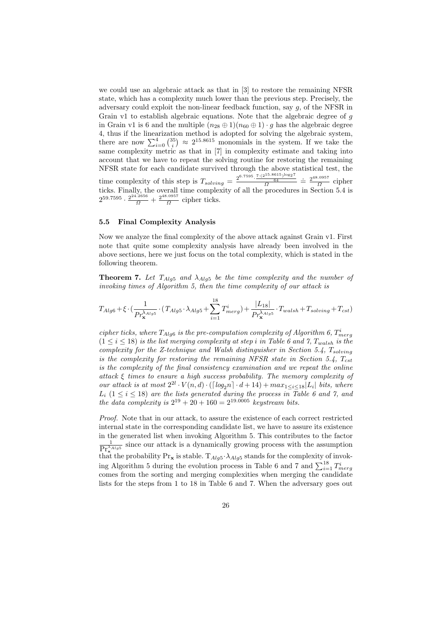we could use an algebraic attack as that in [3] to restore the remaining NFSR state, which has a complexity much lower than the previous step. Precisely, the adversary could exploit the non-linear feedback function, say *g*, of the NFSR in Grain v1 to establish algebraic equations. Note that the algebraic degree of *g* in Grain v1 is 6 and the multiple  $(n_{28} \oplus 1)(n_{60} \oplus 1) \cdot g$  has the algebraic degree 4, thus if the linearization method is adopted for solving the algebraic system, there are now  $\sum_{i=0}^{4} {\binom{35}{i}} \approx 2^{15.8615}$  monomials in the system. If we take the same complexity metric as that in [7] in complexity estimate and taking into account that we have to repeat the solving routine for restoring the remaining NFSR state for each candidate survived through the above statistical test, the time complexity of this step is  $T_{solving} = \frac{2^{6.7595 \cdot \frac{7 \cdot (2^{15.8615} \cdot \log_2 7}{64}}}{\Omega} \doteq \frac{2^{48.0957}}{\Omega}$ *Ω* cipher ticks. Finally, the overall time complexity of all the procedures in Section 5.4 is  $2^{59.7595} \cdot \frac{2^{24.2656}}{\Omega} + \frac{2^{48.0957}}{\Omega}$ *Ω* cipher ticks.

#### **5.5 Final Complexity Analysis**

Now we analyze the final complexity of the above attack against Grain v1. First note that quite some complexity analysis have already been involved in the above sections, here we just focus on the total complexity, which is stated in the following theorem.

**Theorem 7.** Let  $T_{Alq5}$  and  $\lambda_{Alq5}$  be the time complexity and the number of *invoking times of Algorithm 5, then the time complexity of our attack is*

$$
T_{Alg6} + \xi \cdot (\frac{1}{Pr_{\mathbf{x}}^{\lambda_{Alg5}}} \cdot (T_{Alg5} \cdot \lambda_{Alg5} + \sum_{i=1}^{18} T_{merg}^i) + \frac{|L_{18}|}{Pr_{\mathbf{x}}^{\lambda_{Alg5}}} \cdot T_{walsh} + T_{solving} + T_{cst})
$$

*cipher ticks, where*  $T_{Alg6}$  *is the pre-computation complexity of Algorithm 6,*  $T_{merg}^i$  $(1 \leq i \leq 18)$  *is the list merging complexity at step <i>i in Table 6 and 7, T<sub>walsh</sub> is the complexity for the Z-technique and Walsh distinguisher in Section 5.4, Tsolving is the complexity for restoring the remaining NFSR state in Section 5.4,*  $T_{cst}$ *is the complexity of the final consistency examination and we repeat the online attack ξ times to ensure a high success probability. The memory complexity of* our attack is at most  $2^{2l} \cdot V(n,d) \cdot (\lceil log_2 n \rceil \cdot d + 14) + max_{1 \leq i \leq 18} |L_i|$  bits, where  $L_i$  ( $1 \leq i \leq 18$ ) *are the lists generated during the process in Table 6 and 7, and the data complexity is*  $2^{19} + 20 + 160 = 2^{19.0005}$  *keystream bits.* 

*Proof.* Note that in our attack, to assure the existence of each correct restricted internal state in the corresponding candidate list, we have to assure its existence in the generated list when invoking Algorithm 5. This contributes to the factor  $\frac{1}{\Pr_{\mathbf{x}}^{\lambda_{Alg5}}}$  since our attack is a dynamically growing process with the assumption that the probability  $Pr_{\mathbf{x}}$  is stable.  $T_{Alg5} \cdot \lambda_{Alg5}$  stands for the complexity of invoking Algorithm 5 during the evolution process in Table 6 and 7 and  $\sum_{i=1}^{18} T_{merg}^i$ comes from the sorting and merging complexities when merging the candidate lists for the steps from 1 to 18 in Table 6 and 7. When the adversary goes out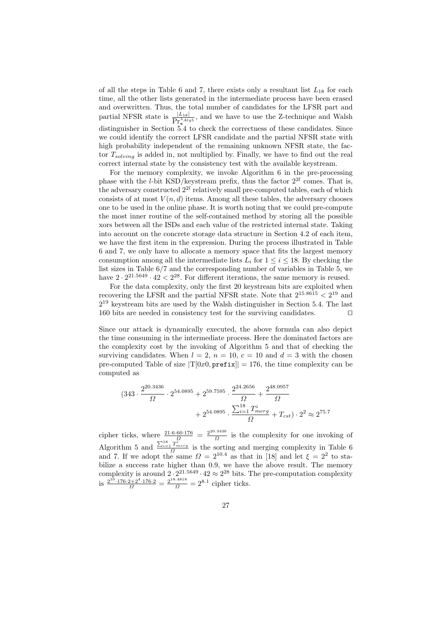of all the steps in Table 6 and 7, there exists only a resultant list  $L_{18}$  for each time, all the other lists generated in the intermediate process have been erased and overwritten. Thus, the total number of candidates for the LFSR part and partial NFSR state is  $\frac{|L_{18}|}{\Pr_{\mathbf{x}}^{\lambda_{Algs}}}$ , and we have to use the Z-technique and Walsh distinguisher in Section 5.4 to check the correctness of these candidates. Since we could identify the correct LFSR candidate and the partial NFSR state with high probability independent of the remaining unknown NFSR state, the factor *Tsolving* is added in, not multiplied by. Finally, we have to find out the real correct internal state by the consistency test with the available keystream.

For the memory complexity, we invoke Algorithm 6 in the pre-processing phase with the *l*-bit KSD/keystream prefix, thus the factor 2<sup>2</sup>*<sup>l</sup>* comes. That is, the adversary constructed  $2^{2l}$  relatively small pre-computed tables, each of which consists of at most  $V(n, d)$  items. Among all these tables, the adversary chooses one to be used in the online phase. It is worth noting that we could pre-compute the most inner routine of the self-contained method by storing all the possible xors between all the ISDs and each value of the restricted internal state. Taking into account on the concrete storage data structure in Section 4.2 of each item, we have the first item in the expression. During the process illustrated in Table 6 and 7, we only have to allocate a memory space that fits the largest memory consumption among all the intermediate lists  $L_i$  for  $1 \leq i \leq 18$ . By checking the list sizes in Table 6/7 and the corresponding number of variables in Table 5, we have  $2 \cdot 2^{21.5649} \cdot 42 < 2^{28}$ . For different iterations, the same memory is reused.

For the data complexity, only the first 20 keystream bits are exploited when recovering the LFSR and the partial NFSR state. Note that  $2^{15.8615} < 2^{19}$  and  $2^{19}$  keystream bits are used by the Walsh distinguisher in Section 5.4. The last 160 bits are needed in consistency test for the surviving candidates. *⊓⊔*

Since our attack is dynamically executed, the above formula can also depict the time consuming in the intermediate process. Here the dominated factors are the complexity cost by the invoking of Algorithm 5 and that of checking the surviving candidates. When  $l = 2$ ,  $n = 10$ ,  $c = 10$  and  $d = 3$  with the chosen pre-computed Table of size  $|T[0x0, \text{prefix}]| = 176$ , the time complexity can be computed as

$$
(343 \cdot \frac{2^{20.3436}}{\Omega} \cdot 2^{54.0895} + 2^{59.7595} \cdot \frac{2^{24.2656}}{\Omega} + \frac{2^{48.0957}}{\Omega} + 2^{54.0895} \cdot \frac{\sum_{i=1}^{18} T_{merg}^i}{\Omega} + T_{cst}) \cdot 2^2 \approx 2^{75.7}
$$

cipher ticks, where  $\frac{21.6.60 \cdot 176}{\Omega} = \frac{2^{20.3436}}{\Omega}$  $\frac{1}{\Omega}$  is the complexity for one invoking of Algorithm 5 and  $\frac{\sum_{i=1}^{18} T_{merg}^i}{\Omega}$  is the sorting and merging complexity in Table 6 and 7. If we adopt the same  $\Omega = 2^{10.4}$  as that in [18] and let  $\xi = 2^2$  to stabilize a success rate higher than 0*.*9, we have the above result. The memory complexity is around  $2 \cdot 2^{21.5649} \cdot 42 \approx 2^{28}$  bits. The pre-computation complexity is  $\frac{2^{10} \cdot 176 \cdot 2 + 2^4 \cdot 176 \cdot 2}{\Omega} = \frac{2^{18 \cdot 4818}}{\Omega} = 2^{8.1}$  cipher ticks.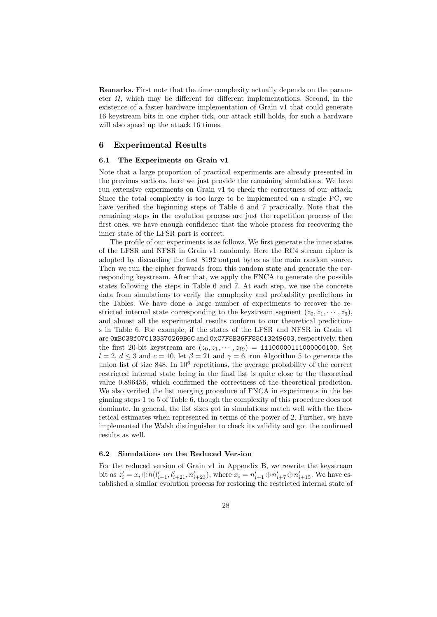**Remarks.** First note that the time complexity actually depends on the parameter *Ω*, which may be different for different implementations. Second, in the existence of a faster hardware implementation of Grain v1 that could generate 16 keystream bits in one cipher tick, our attack still holds, for such a hardware will also speed up the attack 16 times.

### **6 Experimental Results**

#### **6.1 The Experiments on Grain v1**

Note that a large proportion of practical experiments are already presented in the previous sections, here we just provide the remaining simulations. We have run extensive experiments on Grain v1 to check the correctness of our attack. Since the total complexity is too large to be implemented on a single PC, we have verified the beginning steps of Table 6 and 7 practically. Note that the remaining steps in the evolution process are just the repetition process of the first ones, we have enough confidence that the whole process for recovering the inner state of the LFSR part is correct.

The profile of our experiments is as follows. We first generate the inner states of the LFSR and NFSR in Grain v1 randomly. Here the RC4 stream cipher is adopted by discarding the first 8192 output bytes as the main random source. Then we run the cipher forwards from this random state and generate the corresponding keystream. After that, we apply the FNCA to generate the possible states following the steps in Table 6 and 7. At each step, we use the concrete data from simulations to verify the complexity and probability predictions in the Tables. We have done a large number of experiments to recover the restricted internal state corresponding to the keystream segment  $(z_0, z_1, \dots, z_6)$ , and almost all the experimental results conform to our theoretical predictions in Table 6. For example, if the states of the LFSR and NFSR in Grain v1 are 0xB038f07C133370269B6C and 0xC7F5B36FF85C13249603, respectively, then the first 20-bit keystream are  $(z_0, z_1, \dots, z_{19}) = 11100000111000000100$ . Set  $l = 2, d \leq 3$  and  $c = 10$ , let  $\beta = 21$  and  $\gamma = 6$ , run Algorithm 5 to generate the union list of size  $848$ . In  $10^6$  repetitions, the average probability of the correct restricted internal state being in the final list is quite close to the theoretical value 0*.*896456, which confirmed the correctness of the theoretical prediction. We also verified the list merging procedure of FNCA in experiments in the beginning steps 1 to 5 of Table 6, though the complexity of this procedure does not dominate. In general, the list sizes got in simulations match well with the theoretical estimates when represented in terms of the power of 2. Further, we have implemented the Walsh distinguisher to check its validity and got the confirmed results as well.

#### **6.2 Simulations on the Reduced Version**

For the reduced version of Grain v1 in Appendix B, we rewrite the keystream bit as  $z'_i = x_i \oplus h(l'_{i+1}, l'_{i+21}, n'_{i+23})$ , where  $x_i = n'_{i+1} \oplus n'_{i+7} \oplus n'_{i+15}$ . We have established a similar evolution process for restoring the restricted internal state of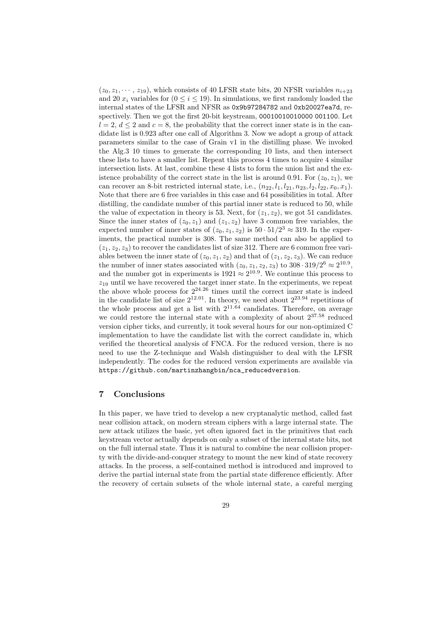$(z_0, z_1, \dots, z_{19})$ , which consists of 40 LFSR state bits, 20 NFSR variables  $n_{i+23}$ and 20  $x_i$  variables for  $(0 \le i \le 19)$ . In simulations, we first randomly loaded the internal states of the LFSR and NFSR as 0x9b97284782 and 0xb20027ea7d, respectively. Then we got the first 20-bit keystream, 00010010010000 001100. Let  $l = 2, d \leq 2$  and  $c = 8$ , the probability that the correct inner state is in the candidate list is 0*.*923 after one call of Algorithm 3. Now we adopt a group of attack parameters similar to the case of Grain v1 in the distilling phase. We invoked the Alg.3 10 times to generate the corresponding 10 lists, and then intersect these lists to have a smaller list. Repeat this process 4 times to acquire 4 similar intersection lists. At last, combine these 4 lists to form the union list and the existence probability of the correct state in the list is around 0.91. For  $(z_0, z_1)$ , we can recover an 8-bit restricted internal state, i.e.,  $(n_{22}, l_1, l_{21}, n_{23}, l_2, l_{22}, x_0, x_1)$ . Note that there are 6 free variables in this case and 64 possibilities in total. After distilling, the candidate number of this partial inner state is reduced to 50, while the value of expectation in theory is 53. Next, for  $(z_1, z_2)$ , we got 51 candidates. Since the inner states of  $(z_0, z_1)$  and  $(z_1, z_2)$  have 3 common free variables, the expected number of inner states of  $(z_0, z_1, z_2)$  is  $50 \cdot 51/2^3 \approx 319$ . In the experiments, the practical number is 308. The same method can also be applied to  $(z_1, z_2, z_3)$  to recover the candidates list of size 312. There are 6 common free variables between the inner state of  $(z_0, z_1, z_2)$  and that of  $(z_1, z_2, z_3)$ . We can reduce the number of inner states associated with  $(z_0, z_1, z_2, z_3)$  to  $308 \cdot 319/2^6 \approx 2^{10.9}$ , and the number got in experiments is  $1921 \approx 2^{10.9}$ . We continue this process to *z*<sup>19</sup> until we have recovered the target inner state. In the experiments, we repeat the above whole process for  $2^{24.26}$  times until the correct inner state is indeed in the candidate list of size  $2^{12.01}$ . In theory, we need about  $2^{23.94}$  repetitions of the whole process and get a list with  $2^{11.64}$  candidates. Therefore, on average we could restore the internal state with a complexity of about 2<sup>37</sup>*.*<sup>58</sup> reduced version cipher ticks, and currently, it took several hours for our non-optimized C implementation to have the candidate list with the correct candidate in, which verified the theoretical analysis of FNCA. For the reduced version, there is no need to use the Z-technique and Walsh distinguisher to deal with the LFSR independently. The codes for the reduced version experiments are available via https://github.com/martinzhangbin/nca\_reducedversion.

## **7 Conclusions**

In this paper, we have tried to develop a new cryptanalytic method, called fast near collision attack, on modern stream ciphers with a large internal state. The new attack utilizes the basic, yet often ignored fact in the primitives that each keystream vector actually depends on only a subset of the internal state bits, not on the full internal state. Thus it is natural to combine the near collision property with the divide-and-conquer strategy to mount the new kind of state recovery attacks. In the process, a self-contained method is introduced and improved to derive the partial internal state from the partial state difference efficiently. After the recovery of certain subsets of the whole internal state, a careful merging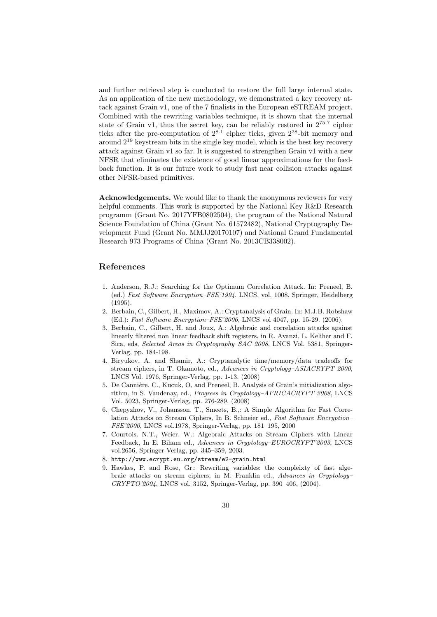and further retrieval step is conducted to restore the full large internal state. As an application of the new methodology, we demonstrated a key recovery attack against Grain v1, one of the 7 finalists in the European eSTREAM project. Combined with the rewriting variables technique, it is shown that the internal state of Grain v1, thus the secret key, can be reliably restored in 2<sup>75</sup>*.*<sup>7</sup> cipher ticks after the pre-computation of  $2^{8.1}$  cipher ticks, given  $2^{28}$ -bit memory and around  $2^{19}$  keystream bits in the single key model, which is the best key recovery attack against Grain v1 so far. It is suggested to strengthen Grain v1 with a new NFSR that eliminates the existence of good linear approximations for the feedback function. It is our future work to study fast near collision attacks against other NFSR-based primitives.

**Acknowledgements.** We would like to thank the anonymous reviewers for very helpful comments. This work is supported by the National Key R&D Research programm (Grant No. 2017YFB0802504), the program of the National Natural Science Foundation of China (Grant No. 61572482), National Cryptography Development Fund (Grant No. MMJJ20170107) and National Grand Fundamental Research 973 Programs of China (Grant No. 2013CB338002).

### **References**

- 1. Anderson, R.J.: Searching for the Optimum Correlation Attack. In: Preneel, B. (ed.) *Fast Software Encryption–FSE'1994*. LNCS, vol. 1008, Springer, Heidelberg  $(1995)$
- 2. Berbain, C., Gilbert, H., Maximov, A.: Cryptanalysis of Grain. In: M.J.B. Robshaw (Ed.): *Fast Software Encryption–FSE'2006*, LNCS vol 4047, pp. 15-29. (2006).
- 3. Berbain, C., Gilbert, H. and Joux, A.: Algebraic and correlation attacks against linearly filtered non linear feedback shift registers, in R. Avanzi, L. Keliher and F. Sica, eds, *Selected Areas in Cryptography–SAC 2008*, LNCS Vol. 5381, Springer-Verlag, pp. 184-198.
- 4. Biryukov, A. and Shamir, A.: Cryptanalytic time/memory/data tradeoffs for stream ciphers, in T. Okamoto, ed., *Advances in Cryptology–ASIACRYPT 2000*, LNCS Vol. 1976, Springer-Verlag, pp. 1-13. (2008)
- 5. De Cannière, C., Kucuk, O, and Preneel, B. Analysis of Grain's initialization algorithm, in S. Vaudenay, ed., *Progress in Cryptology–AFRICACRYPT 2008*, LNCS Vol. 5023, Springer-Verlag, pp. 276-289. (2008)
- 6. Chepyzhov, V., Johansson. T., Smeets, B.,: A Simple Algorithm for Fast Correlation Attacks on Stream Ciphers, In B. Schneier ed., *Fast Software Encryption– FSE'2000*, LNCS vol.1978, Springer-Verlag, pp. 181–195, 2000
- 7. Courtois. N.T., Weier. W.: Algebraic Attacks on Stream Ciphers with Linear Feedback, In E. Biham ed., *Advances in Cryptology–EUROCRYPT'2003*, LNCS vol.2656, Springer-Verlag, pp. 345–359, 2003.
- 8. http://www.ecrypt.eu.org/stream/e2-grain.html
- 9. Hawkes, P. and Rose, Gr.: Rewriting variables: the compleixty of fast algebraic attacks on stream ciphers, in M. Franklin ed., *Advances in Cryptology– CRYPTO'2004*, LNCS vol. 3152, Springer-Verlag, pp. 390–406, (2004).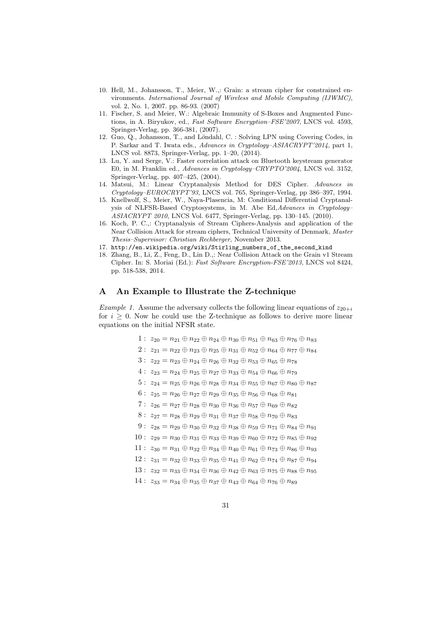- 10. Hell, M., Johansson, T., Meier, W.,: Grain: a stream cipher for constrained environments. *International Journal of Wireless and Mobile Computing (IJWMC)*, vol. 2, No. 1, 2007. pp. 86-93. (2007)
- 11. Fischer, S. and Meier, W.: Algebraic Immunity of S-Boxes and Augmented Functions, in A. Biryukov, ed., *Fast Software Encryption–FSE'2007*, LNCS vol. 4593, Springer-Verlag, pp. 366-381, (2007).
- 12. Guo, Q., Johansson, T., and Löndahl, C. : Solving LPN using Covering Codes, in P. Sarkar and T. Iwata eds., *Advances in Cryptology–ASIACRYPT'2014*, part 1, LNCS vol. 8873, Springer-Verlag, pp. 1–20, (2014).
- 13. Lu, Y. and Serge, V.: Faster correlation attack on Bluetooth keystream generator E0, in M. Franklin ed., *Advances in Cryptology–CRYPTO'2004*, LNCS vol. 3152, Springer-Verlag, pp. 407–425, (2004).
- 14. Matsui, M.: Linear Cryptanalysis Method for DES Cipher. *Advances in Cryptology–EUROCRYPT'93*, LNCS vol. 765, Springer-Verlag, pp 386–397, 1994.
- 15. Knellwolf, S., Meier, W., Naya-Plasencia, M: Conditional Differential Cryptanalysis of NLFSR-Based Cryptosystems, in M. Abe Ed,*Advances in Cryptology– ASIACRYPT 2010*, LNCS Vol. 6477, Springer-Verlag, pp. 130–145. (2010).
- 16. Koch, P. C.,: Cryptanalysis of Stream Ciphers-Analysis and application of the Near Collision Attack for stream ciphers, Technical University of Denmark, *Master Thesis–Supervisor: Christian Rechberger*, November 2013.
- 17. http://en.wikipedia.org/wiki/Stirling\_numbers\_of\_the\_second\_kind
- 18. Zhang, B., Li, Z., Feng, D., Lin D.,: Near Collision Attack on the Grain v1 Stream Cipher. In: S. Moriai (Ed.): *Fast Software Encryption-FSE'2013*, LNCS vol 8424, pp. 518-538, 2014.

# **A An Example to Illustrate the Z-technique**

*Example 1.* Assume the adversary collects the following linear equations of  $z_{20+i}$ for  $i \geq 0$ . Now he could use the Z-technique as follows to derive more linear equations on the initial NFSR state.

> $1: z_{20} = n_{21} \oplus n_{22} \oplus n_{24} \oplus n_{30} \oplus n_{51} \oplus n_{63} \oplus n_{76} \oplus n_{83}$  $2: z_{21} = n_{22} \oplus n_{23} \oplus n_{25} \oplus n_{31} \oplus n_{52} \oplus n_{64} \oplus n_{77} \oplus n_{84}$  $3: z_{22} = n_{23} \oplus n_{24} \oplus n_{26} \oplus n_{32} \oplus n_{53} \oplus n_{65} \oplus n_{78}$  $4: z_{23} = n_{24} \oplus n_{25} \oplus n_{27} \oplus n_{33} \oplus n_{54} \oplus n_{66} \oplus n_{79}$  $5: z_{24} = n_{25} \oplus n_{26} \oplus n_{28} \oplus n_{34} \oplus n_{55} \oplus n_{67} \oplus n_{80} \oplus n_{87}$  $6: z_{25} = n_{26} \oplus n_{27} \oplus n_{29} \oplus n_{35} \oplus n_{56} \oplus n_{68} \oplus n_{81}$  $7: z_{26} = n_{27} \oplus n_{28} \oplus n_{30} \oplus n_{36} \oplus n_{57} \oplus n_{69} \oplus n_{82}$  $8: z_{27} = n_{28} \oplus n_{29} \oplus n_{31} \oplus n_{37} \oplus n_{58} \oplus n_{70} \oplus n_{83}$  $9: z_{28} = n_{29} \oplus n_{30} \oplus n_{32} \oplus n_{38} \oplus n_{59} \oplus n_{71} \oplus n_{84} \oplus n_{91}$  $10: z_{29} = n_{30} \oplus n_{31} \oplus n_{33} \oplus n_{39} \oplus n_{60} \oplus n_{72} \oplus n_{85} \oplus n_{92}$  $11: z_{30} = n_{31} \oplus n_{32} \oplus n_{34} \oplus n_{40} \oplus n_{61} \oplus n_{73} \oplus n_{86} \oplus n_{93}$  $12: z_{31} = n_{32} \oplus n_{33} \oplus n_{35} \oplus n_{41} \oplus n_{62} \oplus n_{74} \oplus n_{87} \oplus n_{94}$  $13: z_{32} = n_{33} \oplus n_{34} \oplus n_{36} \oplus n_{42} \oplus n_{63} \oplus n_{75} \oplus n_{88} \oplus n_{95}$  $14: z_{33} = n_{34} \oplus n_{35} \oplus n_{37} \oplus n_{43} \oplus n_{64} \oplus n_{76} \oplus n_{89}$